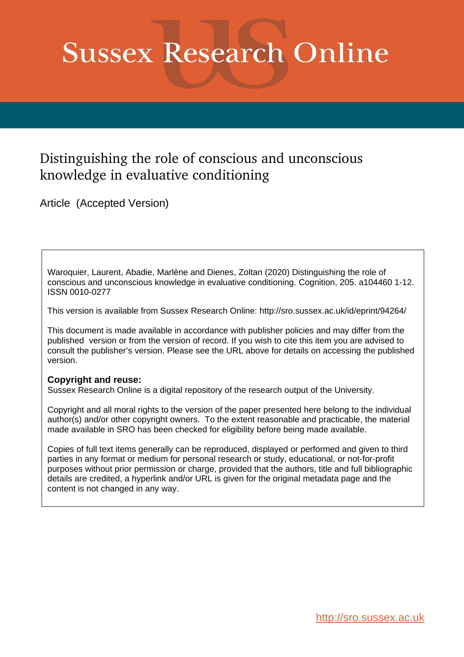# **Sussex Research Online**

# Distinguishing the role of conscious and unconscious knowledge in evaluative conditioning

Article (Accepted Version)

Waroquier, Laurent, Abadie, Marlène and Dienes, Zoltan (2020) Distinguishing the role of conscious and unconscious knowledge in evaluative conditioning. Cognition, 205. a104460 1-12. ISSN 0010-0277

This version is available from Sussex Research Online: http://sro.sussex.ac.uk/id/eprint/94264/

This document is made available in accordance with publisher policies and may differ from the published version or from the version of record. If you wish to cite this item you are advised to consult the publisher's version. Please see the URL above for details on accessing the published version.

# **Copyright and reuse:**

Sussex Research Online is a digital repository of the research output of the University.

Copyright and all moral rights to the version of the paper presented here belong to the individual author(s) and/or other copyright owners. To the extent reasonable and practicable, the material made available in SRO has been checked for eligibility before being made available.

Copies of full text items generally can be reproduced, displayed or performed and given to third parties in any format or medium for personal research or study, educational, or not-for-profit purposes without prior permission or charge, provided that the authors, title and full bibliographic details are credited, a hyperlink and/or URL is given for the original metadata page and the content is not changed in any way.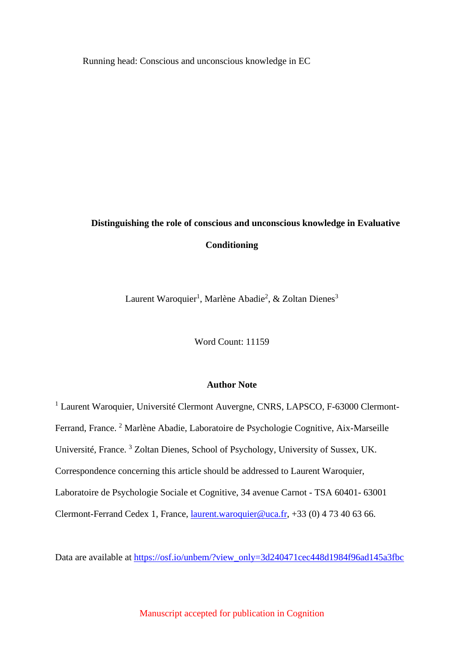Running head: Conscious and unconscious knowledge in EC

# **Distinguishing the role of conscious and unconscious knowledge in Evaluative Conditioning**

Laurent Waroquier<sup>1</sup>, Marlène Abadie<sup>2</sup>, & Zoltan Dienes<sup>3</sup>

Word Count: 11159

# **Author Note**

<sup>1</sup> Laurent Waroquier, Université Clermont Auvergne, CNRS, LAPSCO, F-63000 Clermont-Ferrand, France.<sup>2</sup> Marlène Abadie, Laboratoire de Psychologie Cognitive, Aix-Marseille Université, France. <sup>3</sup> Zoltan Dienes, School of Psychology, University of Sussex, UK. Correspondence concerning this article should be addressed to Laurent Waroquier, Laboratoire de Psychologie Sociale et Cognitive, 34 avenue Carnot - TSA 60401- 63001 Clermont-Ferrand Cedex 1, France, [laurent.waroquier@uca.fr,](mailto:laurent.waroquier@uca.fr) +33 (0) 4 73 40 63 66.

Data are available at [https://osf.io/unbem/?view\\_only=3d240471cec448d1984f96ad145a3fbc](https://osf.io/unbem/?view_only=3d240471cec448d1984f96ad145a3fbc)

Manuscript accepted for publication in Cognition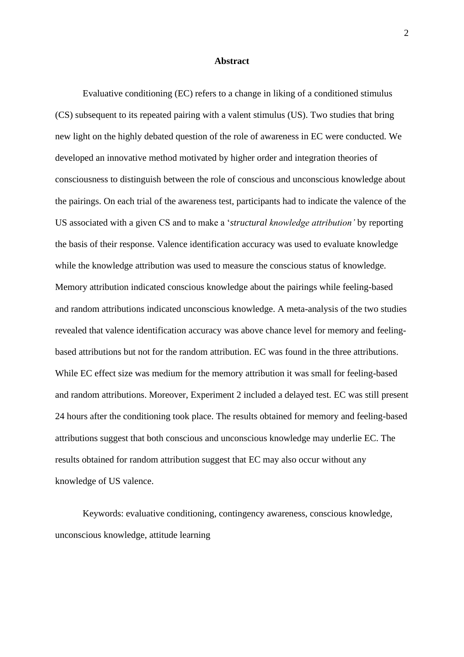#### **Abstract**

Evaluative conditioning (EC) refers to a change in liking of a conditioned stimulus (CS) subsequent to its repeated pairing with a valent stimulus (US). Two studies that bring new light on the highly debated question of the role of awareness in EC were conducted. We developed an innovative method motivated by higher order and integration theories of consciousness to distinguish between the role of conscious and unconscious knowledge about the pairings. On each trial of the awareness test, participants had to indicate the valence of the US associated with a given CS and to make a '*structural knowledge attribution'* by reporting the basis of their response. Valence identification accuracy was used to evaluate knowledge while the knowledge attribution was used to measure the conscious status of knowledge. Memory attribution indicated conscious knowledge about the pairings while feeling-based and random attributions indicated unconscious knowledge. A meta-analysis of the two studies revealed that valence identification accuracy was above chance level for memory and feelingbased attributions but not for the random attribution. EC was found in the three attributions. While EC effect size was medium for the memory attribution it was small for feeling-based and random attributions. Moreover, Experiment 2 included a delayed test. EC was still present 24 hours after the conditioning took place. The results obtained for memory and feeling-based attributions suggest that both conscious and unconscious knowledge may underlie EC. The results obtained for random attribution suggest that EC may also occur without any knowledge of US valence.

Keywords: evaluative conditioning, contingency awareness, conscious knowledge, unconscious knowledge, attitude learning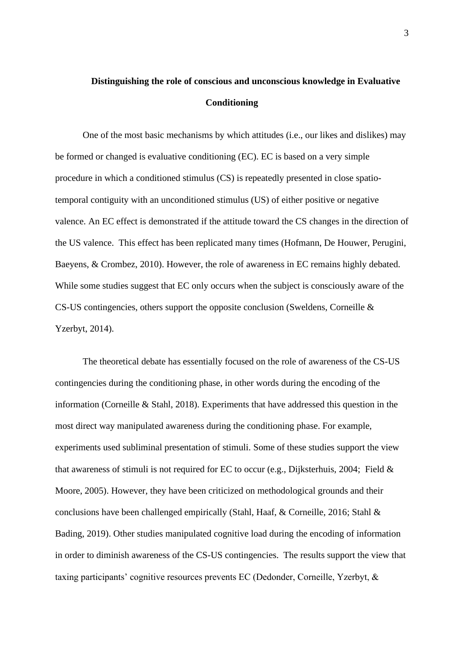# **Distinguishing the role of conscious and unconscious knowledge in Evaluative Conditioning**

One of the most basic mechanisms by which attitudes (i.e., our likes and dislikes) may be formed or changed is evaluative conditioning (EC). EC is based on a very simple procedure in which a conditioned stimulus (CS) is repeatedly presented in close spatiotemporal contiguity with an unconditioned stimulus (US) of either positive or negative valence. An EC effect is demonstrated if the attitude toward the CS changes in the direction of the US valence. This effect has been replicated many times (Hofmann, De Houwer, Perugini, Baeyens, & Crombez, 2010). However, the role of awareness in EC remains highly debated. While some studies suggest that EC only occurs when the subject is consciously aware of the CS-US contingencies, others support the opposite conclusion (Sweldens, Corneille & Yzerbyt, 2014).

The theoretical debate has essentially focused on the role of awareness of the CS-US contingencies during the conditioning phase, in other words during the encoding of the information (Corneille & Stahl, 2018). Experiments that have addressed this question in the most direct way manipulated awareness during the conditioning phase. For example, experiments used subliminal presentation of stimuli. Some of these studies support the view that awareness of stimuli is not required for EC to occur (e.g., Dijksterhuis, 2004; Field & Moore, 2005). However, they have been criticized on methodological grounds and their conclusions have been challenged empirically (Stahl, Haaf, & Corneille, 2016; Stahl & Bading, 2019). Other studies manipulated cognitive load during the encoding of information in order to diminish awareness of the CS-US contingencies. The results support the view that taxing participants' cognitive resources prevents EC (Dedonder, Corneille, Yzerbyt, &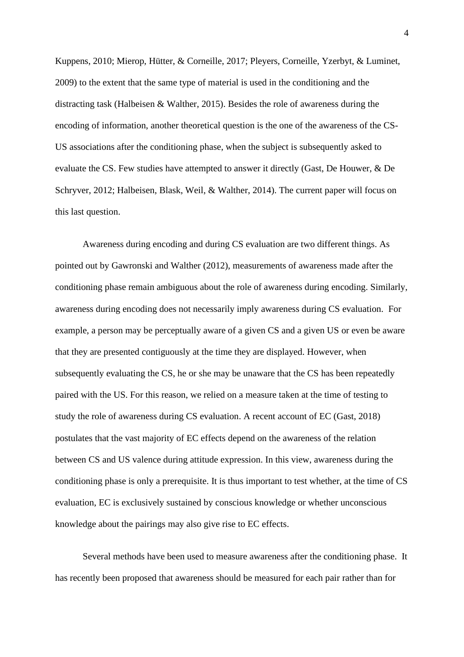Kuppens, 2010; Mierop, Hütter, & Corneille, 2017; Pleyers, Corneille, Yzerbyt, & Luminet, 2009) to the extent that the same type of material is used in the conditioning and the distracting task (Halbeisen & Walther, 2015). Besides the role of awareness during the encoding of information, another theoretical question is the one of the awareness of the CS-US associations after the conditioning phase, when the subject is subsequently asked to evaluate the CS. Few studies have attempted to answer it directly (Gast, De Houwer, & De Schryver, 2012; Halbeisen, Blask, Weil, & Walther, 2014). The current paper will focus on this last question.

Awareness during encoding and during CS evaluation are two different things. As pointed out by Gawronski and Walther (2012), measurements of awareness made after the conditioning phase remain ambiguous about the role of awareness during encoding. Similarly, awareness during encoding does not necessarily imply awareness during CS evaluation. For example, a person may be perceptually aware of a given CS and a given US or even be aware that they are presented contiguously at the time they are displayed. However, when subsequently evaluating the CS, he or she may be unaware that the CS has been repeatedly paired with the US. For this reason, we relied on a measure taken at the time of testing to study the role of awareness during CS evaluation. A recent account of EC (Gast, 2018) postulates that the vast majority of EC effects depend on the awareness of the relation between CS and US valence during attitude expression. In this view, awareness during the conditioning phase is only a prerequisite. It is thus important to test whether, at the time of CS evaluation, EC is exclusively sustained by conscious knowledge or whether unconscious knowledge about the pairings may also give rise to EC effects.

Several methods have been used to measure awareness after the conditioning phase. It has recently been proposed that awareness should be measured for each pair rather than for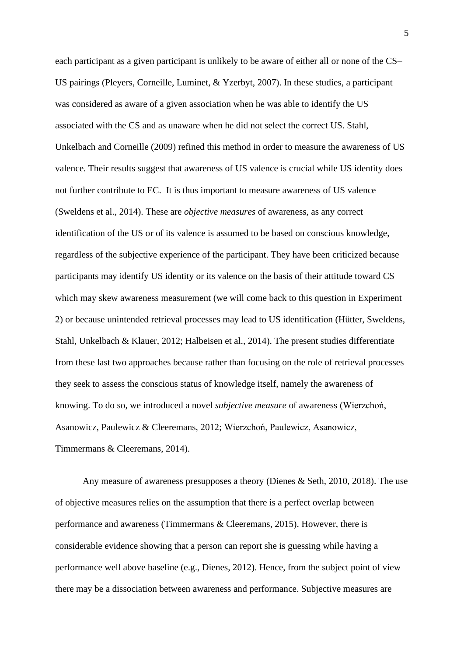each participant as a given participant is unlikely to be aware of either all or none of the CS– US pairings (Pleyers, Corneille, Luminet, & Yzerbyt, 2007). In these studies, a participant was considered as aware of a given association when he was able to identify the US associated with the CS and as unaware when he did not select the correct US. Stahl, Unkelbach and Corneille (2009) refined this method in order to measure the awareness of US valence. Their results suggest that awareness of US valence is crucial while US identity does not further contribute to EC. It is thus important to measure awareness of US valence (Sweldens et al., 2014). These are *objective measures* of awareness, as any correct identification of the US or of its valence is assumed to be based on conscious knowledge, regardless of the subjective experience of the participant. They have been criticized because participants may identify US identity or its valence on the basis of their attitude toward CS which may skew awareness measurement (we will come back to this question in Experiment 2) or because unintended retrieval processes may lead to US identification (Hütter, Sweldens, Stahl, Unkelbach & Klauer, 2012; Halbeisen et al., 2014). The present studies differentiate from these last two approaches because rather than focusing on the role of retrieval processes they seek to assess the conscious status of knowledge itself, namely the awareness of knowing. To do so, we introduced a novel *subjective measure* of awareness (Wierzchoń, Asanowicz, Paulewicz & Cleeremans, 2012; Wierzchoń, Paulewicz, Asanowicz, Timmermans & Cleeremans, 2014).

Any measure of awareness presupposes a theory (Dienes & Seth, 2010, 2018). The use of objective measures relies on the assumption that there is a perfect overlap between performance and awareness (Timmermans & Cleeremans, 2015). However, there is considerable evidence showing that a person can report she is guessing while having a performance well above baseline (e.g., Dienes, 2012). Hence, from the subject point of view there may be a dissociation between awareness and performance. Subjective measures are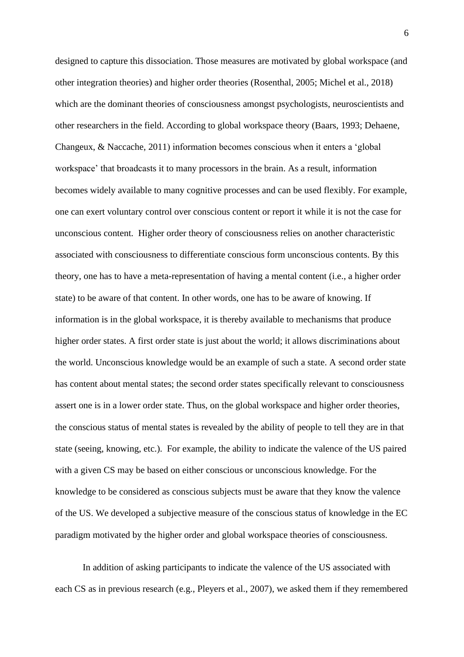designed to capture this dissociation. Those measures are motivated by global workspace (and other integration theories) and higher order theories (Rosenthal, 2005; Michel et al., 2018) which are the dominant theories of consciousness amongst psychologists, neuroscientists and other researchers in the field. According to global workspace theory (Baars, 1993; Dehaene, Changeux, & Naccache, 2011) information becomes conscious when it enters a 'global workspace' that broadcasts it to many processors in the brain. As a result, information becomes widely available to many cognitive processes and can be used flexibly. For example, one can exert voluntary control over conscious content or report it while it is not the case for unconscious content. Higher order theory of consciousness relies on another characteristic associated with consciousness to differentiate conscious form unconscious contents. By this theory, one has to have a meta-representation of having a mental content (i.e., a higher order state) to be aware of that content. In other words, one has to be aware of knowing. If information is in the global workspace, it is thereby available to mechanisms that produce higher order states. A first order state is just about the world; it allows discriminations about the world. Unconscious knowledge would be an example of such a state. A second order state has content about mental states; the second order states specifically relevant to consciousness assert one is in a lower order state. Thus, on the global workspace and higher order theories, the conscious status of mental states is revealed by the ability of people to tell they are in that state (seeing, knowing, etc.). For example, the ability to indicate the valence of the US paired with a given CS may be based on either conscious or unconscious knowledge. For the knowledge to be considered as conscious subjects must be aware that they know the valence of the US. We developed a subjective measure of the conscious status of knowledge in the EC paradigm motivated by the higher order and global workspace theories of consciousness.

In addition of asking participants to indicate the valence of the US associated with each CS as in previous research (e.g., Pleyers et al., 2007), we asked them if they remembered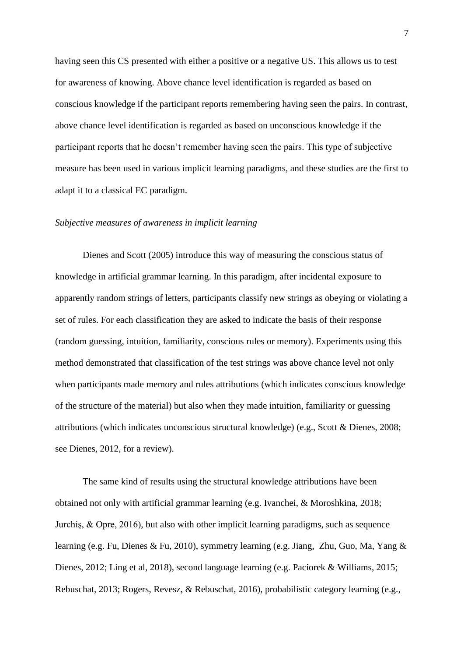having seen this CS presented with either a positive or a negative US. This allows us to test for awareness of knowing. Above chance level identification is regarded as based on conscious knowledge if the participant reports remembering having seen the pairs. In contrast, above chance level identification is regarded as based on unconscious knowledge if the participant reports that he doesn't remember having seen the pairs. This type of subjective measure has been used in various implicit learning paradigms, and these studies are the first to adapt it to a classical EC paradigm.

# *Subjective measures of awareness in implicit learning*

Dienes and Scott (2005) introduce this way of measuring the conscious status of knowledge in artificial grammar learning. In this paradigm, after incidental exposure to apparently random strings of letters, participants classify new strings as obeying or violating a set of rules. For each classification they are asked to indicate the basis of their response (random guessing, intuition, familiarity, conscious rules or memory). Experiments using this method demonstrated that classification of the test strings was above chance level not only when participants made memory and rules attributions (which indicates conscious knowledge of the structure of the material) but also when they made intuition, familiarity or guessing attributions (which indicates unconscious structural knowledge) (e.g., Scott & Dienes, 2008; see Dienes, 2012, for a review).

The same kind of results using the structural knowledge attributions have been obtained not only with artificial grammar learning (e.g. Ivanchei, & Moroshkina, 2018; Jurchiş, & Opre, 2016), but also with other implicit learning paradigms, such as sequence learning (e.g. Fu, Dienes & Fu, 2010), symmetry learning (e.g. Jiang, Zhu, Guo, Ma, Yang & Dienes, 2012; Ling et al, 2018), second language learning (e.g. Paciorek & Williams, 2015; Rebuschat, 2013; Rogers, Revesz, & Rebuschat, 2016), probabilistic category learning (e.g.,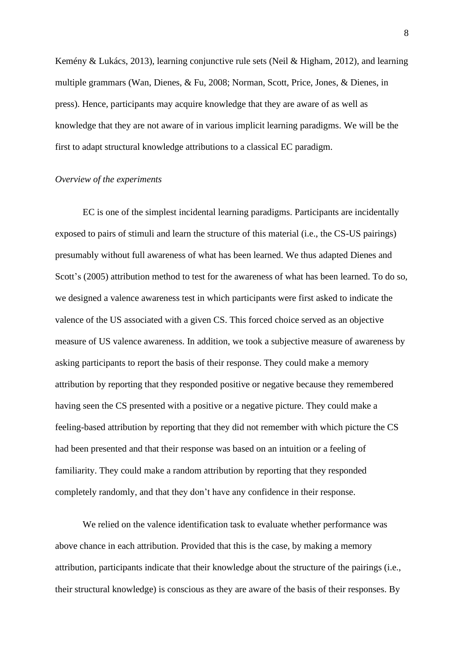Kemény & Lukács, 2013), learning conjunctive rule sets (Neil & Higham, 2012), and learning multiple grammars (Wan, Dienes, & Fu, 2008; Norman, Scott, Price, Jones, & Dienes, in press). Hence, participants may acquire knowledge that they are aware of as well as knowledge that they are not aware of in various implicit learning paradigms. We will be the first to adapt structural knowledge attributions to a classical EC paradigm.

#### *Overview of the experiments*

EC is one of the simplest incidental learning paradigms. Participants are incidentally exposed to pairs of stimuli and learn the structure of this material (i.e., the CS-US pairings) presumably without full awareness of what has been learned. We thus adapted Dienes and Scott's (2005) attribution method to test for the awareness of what has been learned. To do so, we designed a valence awareness test in which participants were first asked to indicate the valence of the US associated with a given CS. This forced choice served as an objective measure of US valence awareness. In addition, we took a subjective measure of awareness by asking participants to report the basis of their response. They could make a memory attribution by reporting that they responded positive or negative because they remembered having seen the CS presented with a positive or a negative picture. They could make a feeling-based attribution by reporting that they did not remember with which picture the CS had been presented and that their response was based on an intuition or a feeling of familiarity. They could make a random attribution by reporting that they responded completely randomly, and that they don't have any confidence in their response.

We relied on the valence identification task to evaluate whether performance was above chance in each attribution. Provided that this is the case, by making a memory attribution, participants indicate that their knowledge about the structure of the pairings (i.e., their structural knowledge) is conscious as they are aware of the basis of their responses. By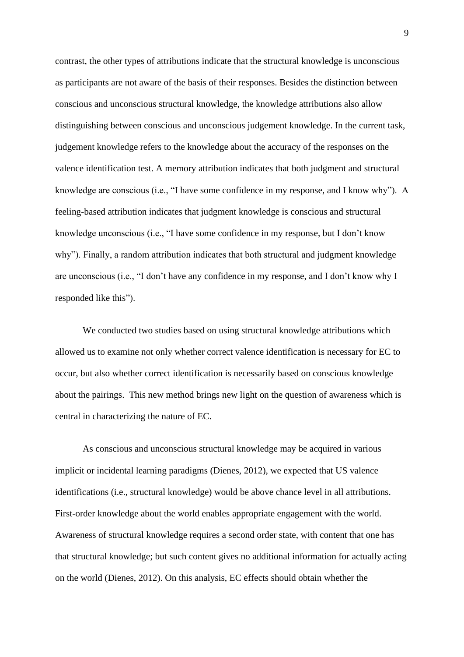contrast, the other types of attributions indicate that the structural knowledge is unconscious as participants are not aware of the basis of their responses. Besides the distinction between conscious and unconscious structural knowledge, the knowledge attributions also allow distinguishing between conscious and unconscious judgement knowledge. In the current task, judgement knowledge refers to the knowledge about the accuracy of the responses on the valence identification test. A memory attribution indicates that both judgment and structural knowledge are conscious (i.e., "I have some confidence in my response, and I know why"). A feeling-based attribution indicates that judgment knowledge is conscious and structural knowledge unconscious (i.e., "I have some confidence in my response, but I don't know why"). Finally, a random attribution indicates that both structural and judgment knowledge are unconscious (i.e., "I don't have any confidence in my response, and I don't know why I responded like this").

We conducted two studies based on using structural knowledge attributions which allowed us to examine not only whether correct valence identification is necessary for EC to occur, but also whether correct identification is necessarily based on conscious knowledge about the pairings. This new method brings new light on the question of awareness which is central in characterizing the nature of EC.

As conscious and unconscious structural knowledge may be acquired in various implicit or incidental learning paradigms (Dienes, 2012), we expected that US valence identifications (i.e., structural knowledge) would be above chance level in all attributions. First-order knowledge about the world enables appropriate engagement with the world. Awareness of structural knowledge requires a second order state, with content that one has that structural knowledge; but such content gives no additional information for actually acting on the world (Dienes, 2012). On this analysis, EC effects should obtain whether the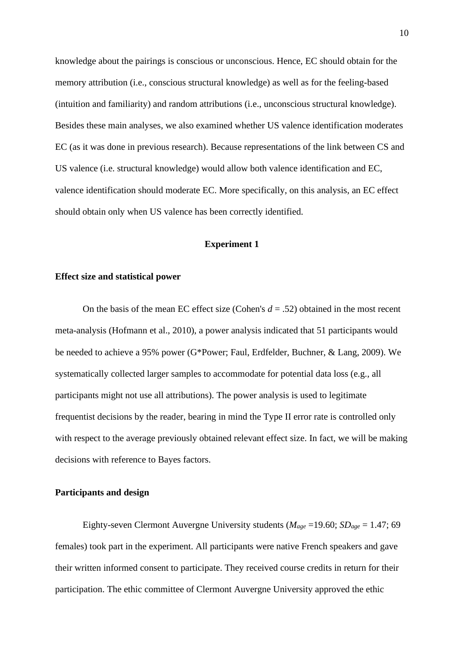knowledge about the pairings is conscious or unconscious. Hence, EC should obtain for the memory attribution (i.e., conscious structural knowledge) as well as for the feeling-based (intuition and familiarity) and random attributions (i.e., unconscious structural knowledge). Besides these main analyses, we also examined whether US valence identification moderates EC (as it was done in previous research). Because representations of the link between CS and US valence (i.e. structural knowledge) would allow both valence identification and EC, valence identification should moderate EC. More specifically, on this analysis, an EC effect should obtain only when US valence has been correctly identified.

# **Experiment 1**

#### **Effect size and statistical power**

On the basis of the mean EC effect size (Cohen's *d* = .52) obtained in the most recent meta-analysis (Hofmann et al., 2010), a power analysis indicated that 51 participants would be needed to achieve a 95% power (G\*Power; Faul, Erdfelder, Buchner, & Lang, 2009). We systematically collected larger samples to accommodate for potential data loss (e.g., all participants might not use all attributions). The power analysis is used to legitimate frequentist decisions by the reader, bearing in mind the Type II error rate is controlled only with respect to the average previously obtained relevant effect size. In fact, we will be making decisions with reference to Bayes factors.

## **Participants and design**

Eighty-seven Clermont Auvergne University students ( $M_{age}$  =19.60;  $SD_{age}$  = 1.47; 69 females) took part in the experiment. All participants were native French speakers and gave their written informed consent to participate. They received course credits in return for their participation. The ethic committee of Clermont Auvergne University approved the ethic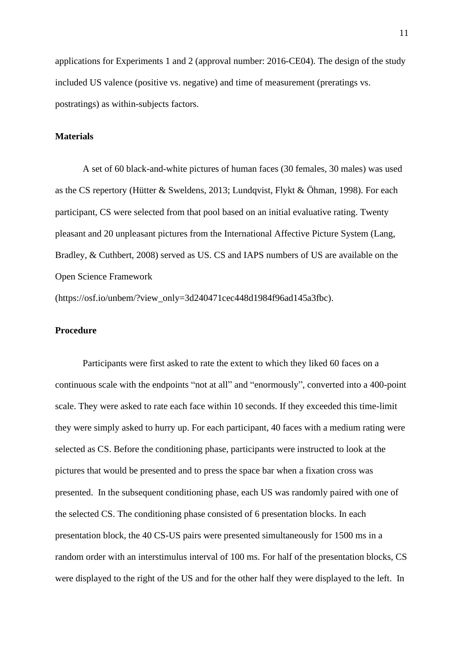applications for Experiments 1 and 2 (approval number: 2016-CE04). The design of the study included US valence (positive vs. negative) and time of measurement (preratings vs. postratings) as within-subjects factors.

# **Materials**

A set of 60 black-and-white pictures of human faces (30 females, 30 males) was used as the CS repertory (Hütter & Sweldens, 2013; Lundqvist, Flykt & Öhman, 1998). For each participant, CS were selected from that pool based on an initial evaluative rating. Twenty pleasant and 20 unpleasant pictures from the International Affective Picture System (Lang, Bradley, & Cuthbert, 2008) served as US. CS and IAPS numbers of US are available on the Open Science Framework

(https://osf.io/unbem/?view\_only=3d240471cec448d1984f96ad145a3fbc).

# **Procedure**

Participants were first asked to rate the extent to which they liked 60 faces on a continuous scale with the endpoints "not at all" and "enormously", converted into a 400-point scale. They were asked to rate each face within 10 seconds. If they exceeded this time-limit they were simply asked to hurry up. For each participant, 40 faces with a medium rating were selected as CS. Before the conditioning phase, participants were instructed to look at the pictures that would be presented and to press the space bar when a fixation cross was presented. In the subsequent conditioning phase, each US was randomly paired with one of the selected CS. The conditioning phase consisted of 6 presentation blocks. In each presentation block, the 40 CS-US pairs were presented simultaneously for 1500 ms in a random order with an interstimulus interval of 100 ms. For half of the presentation blocks, CS were displayed to the right of the US and for the other half they were displayed to the left. In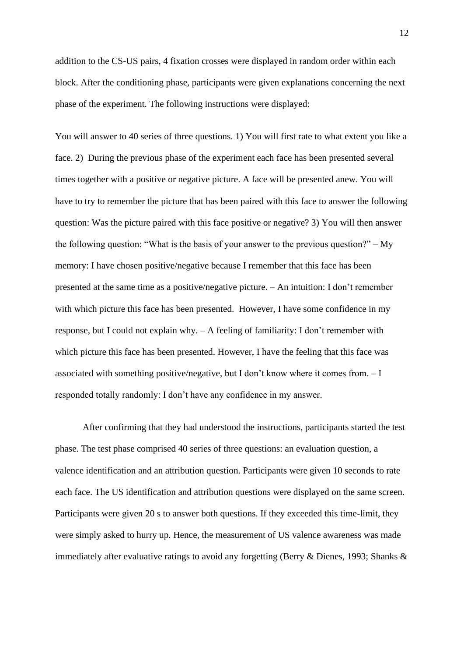addition to the CS-US pairs, 4 fixation crosses were displayed in random order within each block. After the conditioning phase, participants were given explanations concerning the next phase of the experiment. The following instructions were displayed:

You will answer to 40 series of three questions. 1) You will first rate to what extent you like a face. 2) During the previous phase of the experiment each face has been presented several times together with a positive or negative picture. A face will be presented anew. You will have to try to remember the picture that has been paired with this face to answer the following question: Was the picture paired with this face positive or negative? 3) You will then answer the following question: "What is the basis of your answer to the previous question?" – My memory: I have chosen positive/negative because I remember that this face has been presented at the same time as a positive/negative picture. – An intuition: I don't remember with which picture this face has been presented. However, I have some confidence in my response, but I could not explain why. – A feeling of familiarity: I don't remember with which picture this face has been presented. However, I have the feeling that this face was associated with something positive/negative, but I don't know where it comes from. – I responded totally randomly: I don't have any confidence in my answer.

After confirming that they had understood the instructions, participants started the test phase. The test phase comprised 40 series of three questions: an evaluation question, a valence identification and an attribution question. Participants were given 10 seconds to rate each face. The US identification and attribution questions were displayed on the same screen. Participants were given 20 s to answer both questions. If they exceeded this time-limit, they were simply asked to hurry up. Hence, the measurement of US valence awareness was made immediately after evaluative ratings to avoid any forgetting (Berry & Dienes, 1993; Shanks &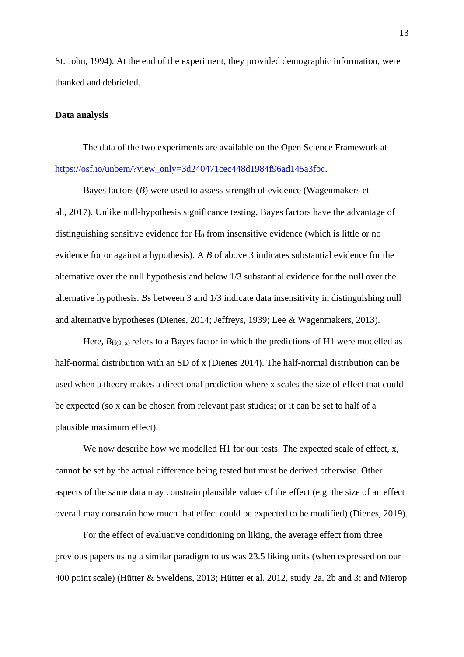St. John, 1994). At the end of the experiment, they provided demographic information, were thanked and debriefed.

# **Data analysis**

The data of the two experiments are available on the Open Science Framework at [https://osf.io/unbem/?view\\_only=3d240471cec448d1984f96ad145a3fbc.](https://osf.io/unbem/?view_only=3d240471cec448d1984f96ad145a3fbc)

Bayes factors (*B*) were used to assess strength of evidence (Wagenmakers et al., 2017). Unlike null-hypothesis significance testing, Bayes factors have the advantage of distinguishing sensitive evidence for  $H_0$  from insensitive evidence (which is little or no evidence for or against a hypothesis). A *B* of above 3 indicates substantial evidence for the alternative over the null hypothesis and below 1/3 substantial evidence for the null over the alternative hypothesis. *B*s between 3 and 1/3 indicate data insensitivity in distinguishing null and alternative hypotheses (Dienes, 2014; Jeffreys, 1939; Lee & Wagenmakers, 2013).

Here,  $B_{H(0, x)}$  refers to a Bayes factor in which the predictions of H1 were modelled as half-normal distribution with an SD of x (Dienes 2014). The half-normal distribution can be used when a theory makes a directional prediction where x scales the size of effect that could be expected (so x can be chosen from relevant past studies; or it can be set to half of a plausible maximum effect).

We now describe how we modelled H1 for our tests. The expected scale of effect, x, cannot be set by the actual difference being tested but must be derived otherwise. Other aspects of the same data may constrain plausible values of the effect (e.g. the size of an effect overall may constrain how much that effect could be expected to be modified) (Dienes, 2019).

For the effect of evaluative conditioning on liking, the average effect from three previous papers using a similar paradigm to us was 23.5 liking units (when expressed on our 400 point scale) (Hütter & Sweldens, 2013; Hütter et al. 2012, study 2a, 2b and 3; and Mierop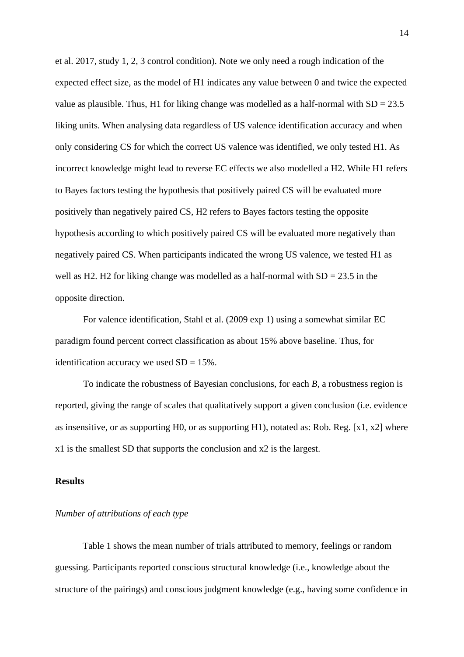et al. 2017, study 1, 2, 3 control condition). Note we only need a rough indication of the expected effect size, as the model of H1 indicates any value between 0 and twice the expected value as plausible. Thus, H1 for liking change was modelled as a half-normal with  $SD = 23.5$ liking units. When analysing data regardless of US valence identification accuracy and when only considering CS for which the correct US valence was identified, we only tested H1. As incorrect knowledge might lead to reverse EC effects we also modelled a H2. While H1 refers to Bayes factors testing the hypothesis that positively paired CS will be evaluated more positively than negatively paired CS, H2 refers to Bayes factors testing the opposite hypothesis according to which positively paired CS will be evaluated more negatively than negatively paired CS. When participants indicated the wrong US valence, we tested H1 as well as H2. H2 for liking change was modelled as a half-normal with  $SD = 23.5$  in the opposite direction.

For valence identification, Stahl et al. (2009 exp 1) using a somewhat similar EC paradigm found percent correct classification as about 15% above baseline. Thus, for identification accuracy we used  $SD = 15\%$ .

To indicate the robustness of Bayesian conclusions, for each *B*, a robustness region is reported, giving the range of scales that qualitatively support a given conclusion (i.e. evidence as insensitive, or as supporting H0, or as supporting H1), notated as: Rob. Reg. [x1, x2] where x1 is the smallest SD that supports the conclusion and x2 is the largest.

#### **Results**

# *Number of attributions of each type*

Table 1 shows the mean number of trials attributed to memory, feelings or random guessing. Participants reported conscious structural knowledge (i.e., knowledge about the structure of the pairings) and conscious judgment knowledge (e.g., having some confidence in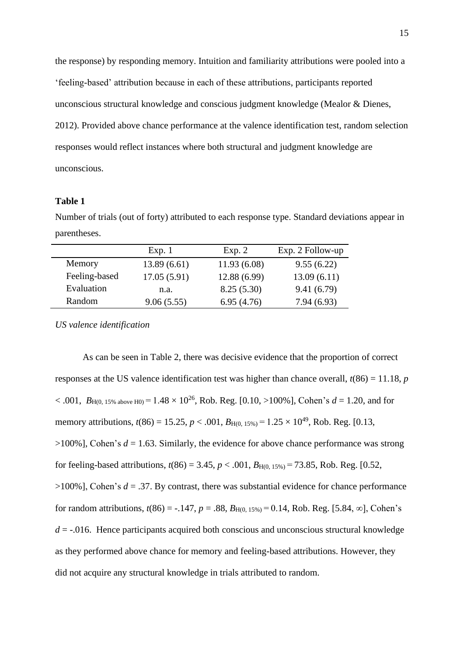the response) by responding memory. Intuition and familiarity attributions were pooled into a 'feeling-based' attribution because in each of these attributions, participants reported unconscious structural knowledge and conscious judgment knowledge (Mealor & Dienes, 2012). Provided above chance performance at the valence identification test, random selection responses would reflect instances where both structural and judgment knowledge are unconscious.

# **Table 1**

Number of trials (out of forty) attributed to each response type. Standard deviations appear in parentheses.

|               | Exp. 1      | Exp. 2       | Exp. 2 Follow-up |
|---------------|-------------|--------------|------------------|
| Memory        | 13.89(6.61) | 11.93(6.08)  | 9.55(6.22)       |
| Feeling-based | 17.05(5.91) | 12.88 (6.99) | 13.09(6.11)      |
| Evaluation    | n.a.        | 8.25(5.30)   | 9.41(6.79)       |
| Random        | 9.06(5.55)  | 6.95(4.76)   | 7.94(6.93)       |
|               |             |              |                  |

*US valence identification*

As can be seen in Table 2, there was decisive evidence that the proportion of correct responses at the US valence identification test was higher than chance overall, *t*(86) = 11.18, *p*   $< .001, B_{H(0, 15\% above H0)} = 1.48 \times 10^{26}$ , Rob. Reg. [0.10, >100%], Cohen's  $d = 1.20$ , and for memory attributions,  $t(86) = 15.25$ ,  $p < .001$ ,  $B_{H(0, 15\%)} = 1.25 \times 10^{49}$ , Rob. Reg. [0.13,  $>100\%$ ], Cohen's  $d = 1.63$ . Similarly, the evidence for above chance performance was strong for feeling-based attributions,  $t(86) = 3.45$ ,  $p < .001$ ,  $B_{H(0.15\%)} = 73.85$ , Rob. Reg. [0.52,  $>100\%$ ], Cohen's  $d = .37$ . By contrast, there was substantial evidence for chance performance for random attributions,  $t(86) = -.147$ ,  $p = .88$ ,  $B_{H(0.15\%)} = 0.14$ , Rob. Reg. [5.84, ∞], Cohen's  $d = -0.016$ . Hence participants acquired both conscious and unconscious structural knowledge as they performed above chance for memory and feeling-based attributions. However, they did not acquire any structural knowledge in trials attributed to random.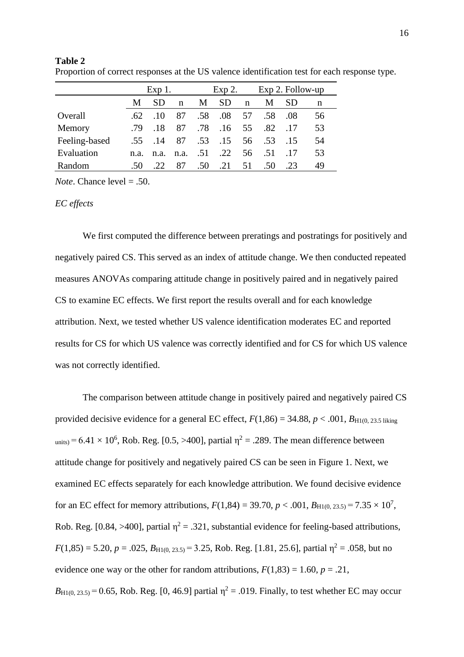|               | $Exp1$ . |          |      | Exp 2. |     | Exp 2. Follow-up |     |           |    |
|---------------|----------|----------|------|--------|-----|------------------|-----|-----------|----|
|               | M        | SD.      | n    | M      | SD  | n                | М   | <b>SD</b> | n  |
| Overall       | -62.     | $\pm 10$ | 87   | .58    | .08 | 57               | .58 | .08       | 56 |
| Memory        | .79      | .18      | 87   | .78    | .16 | 55               | .82 | 17        | 53 |
| Feeling-based | .55      | .14      | 87   | .53    | .15 | 56               | .53 | 15        | 54 |
| Evaluation    | n.a.     | n.a.     | n.a. | .51    | .22 | 56               | .51 | -17       | 53 |
| Random        | .50      | .22.     | 87   | .50    | .21 | 51               | .50 | .23       | 49 |

**Table 2**  Proportion of correct responses at the US valence identification test for each response type.

*Note*. Chance level = .50.

# *EC effects*

We first computed the difference between preratings and postratings for positively and negatively paired CS. This served as an index of attitude change. We then conducted repeated measures ANOVAs comparing attitude change in positively paired and in negatively paired CS to examine EC effects. We first report the results overall and for each knowledge attribution. Next, we tested whether US valence identification moderates EC and reported results for CS for which US valence was correctly identified and for CS for which US valence was not correctly identified.

The comparison between attitude change in positively paired and negatively paired CS provided decisive evidence for a general EC effect,  $F(1,86) = 34.88$ ,  $p < .001$ ,  $B_{\text{H1}(0, 23.5 \text{ liking})}$  $_{\text{units}}$  = 6.41  $\times$  10<sup>6</sup>, Rob. Reg. [0.5, >400], partial  $\eta^2$  = .289. The mean difference between attitude change for positively and negatively paired CS can be seen in Figure 1. Next, we examined EC effects separately for each knowledge attribution. We found decisive evidence for an EC effect for memory attributions,  $F(1,84) = 39.70$ ,  $p < .001$ ,  $B_{\text{H1}(0, 23.5)} = 7.35 \times 10^7$ , Rob. Reg. [0.84, >400], partial  $\eta^2 = .321$ , substantial evidence for feeling-based attributions,  $F(1,85) = 5.20, p = .025, B_{H1(0, 23.5)} = 3.25$ , Rob. Reg. [1.81, 25.6], partial  $\eta^2 = .058$ , but no evidence one way or the other for random attributions,  $F(1,83) = 1.60$ ,  $p = .21$ ,  $B_{\text{H1}(0, 23.5)} = 0.65$ , Rob. Reg. [0, 46.9] partial  $\eta^2 = .019$ . Finally, to test whether EC may occur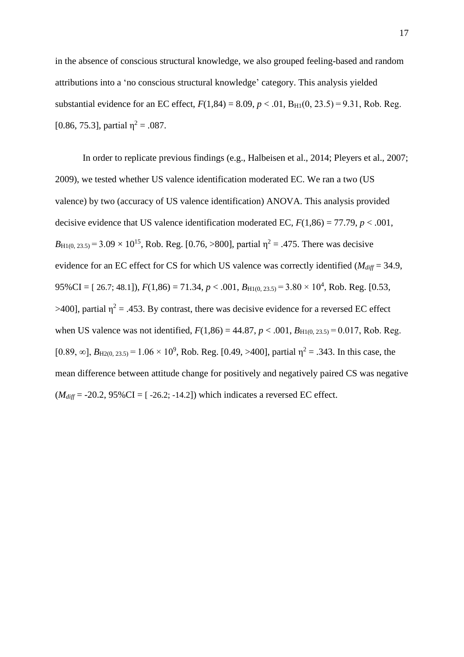in the absence of conscious structural knowledge, we also grouped feeling-based and random attributions into a 'no conscious structural knowledge' category. This analysis yielded substantial evidence for an EC effect,  $F(1,84) = 8.09$ ,  $p < .01$ ,  $B_{H1}(0, 23.5) = 9.31$ , Rob. Reg. [0.86, 75.3], partial  $\eta^2 = .087$ .

In order to replicate previous findings (e.g., Halbeisen et al., 2014; Pleyers et al., 2007; 2009), we tested whether US valence identification moderated EC. We ran a two (US valence) by two (accuracy of US valence identification) ANOVA. This analysis provided decisive evidence that US valence identification moderated EC,  $F(1,86) = 77.79$ ,  $p < .001$ ,  $B_{\text{H1}(0, 23.5)} = 3.09 \times 10^{15}$ , Rob. Reg. [0.76, >800], partial  $\eta^2 = .475$ . There was decisive evidence for an EC effect for CS for which US valence was correctly identified ( $M_{diff}$  = 34.9,  $95\% CI = [26.7; 48.1], F(1,86) = 71.34, p < .001, B_{H1(0, 23.5)} = 3.80 \times 10^4$ , Rob. Reg. [0.53,  $>400$ ], partial  $\eta^2 = .453$ . By contrast, there was decisive evidence for a reversed EC effect when US valence was not identified,  $F(1,86) = 44.87$ ,  $p < .001$ ,  $B_{H1(0, 23.5)} = 0.017$ , Rob. Reg. [0.89, ∞],  $B_{\text{H2}(0, 23.5)}$  = 1.06 × 10<sup>9</sup>, Rob. Reg. [0.49, >400], partial η<sup>2</sup> = .343. In this case, the mean difference between attitude change for positively and negatively paired CS was negative  $(M_{diff} = -20.2, 95\% \text{CI} = [-26.2, -14.2])$  which indicates a reversed EC effect.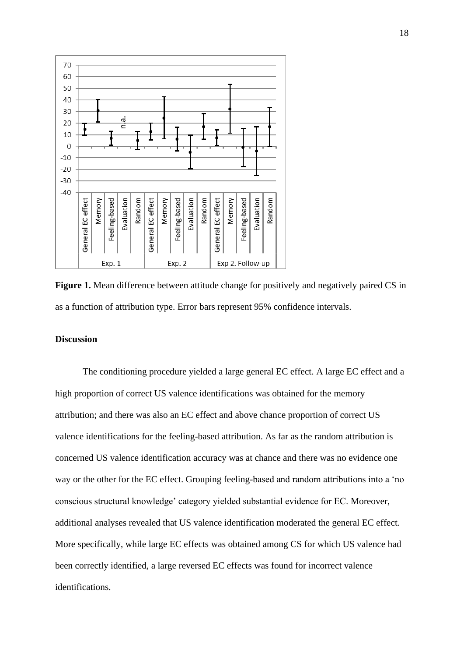

Figure 1. Mean difference between attitude change for positively and negatively paired CS in as a function of attribution type. Error bars represent 95% confidence intervals.

# **Discussion**

The conditioning procedure yielded a large general EC effect. A large EC effect and a high proportion of correct US valence identifications was obtained for the memory attribution; and there was also an EC effect and above chance proportion of correct US valence identifications for the feeling-based attribution. As far as the random attribution is concerned US valence identification accuracy was at chance and there was no evidence one way or the other for the EC effect. Grouping feeling-based and random attributions into a 'no conscious structural knowledge' category yielded substantial evidence for EC. Moreover, additional analyses revealed that US valence identification moderated the general EC effect. More specifically, while large EC effects was obtained among CS for which US valence had been correctly identified, a large reversed EC effects was found for incorrect valence identifications.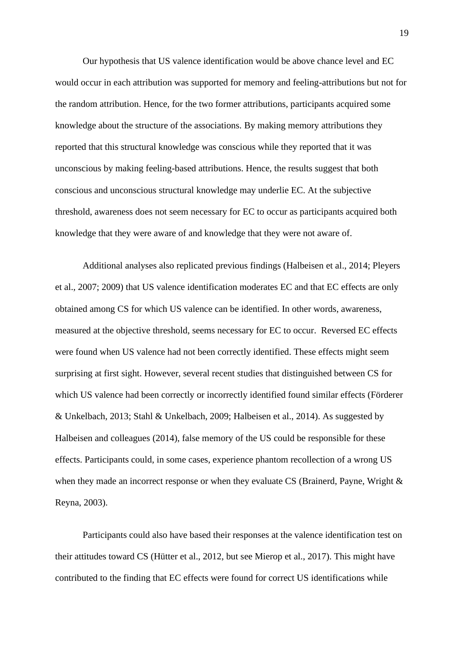Our hypothesis that US valence identification would be above chance level and EC would occur in each attribution was supported for memory and feeling-attributions but not for the random attribution. Hence, for the two former attributions, participants acquired some knowledge about the structure of the associations. By making memory attributions they reported that this structural knowledge was conscious while they reported that it was unconscious by making feeling-based attributions. Hence, the results suggest that both conscious and unconscious structural knowledge may underlie EC. At the subjective threshold, awareness does not seem necessary for EC to occur as participants acquired both knowledge that they were aware of and knowledge that they were not aware of.

Additional analyses also replicated previous findings (Halbeisen et al., 2014; Pleyers et al., 2007; 2009) that US valence identification moderates EC and that EC effects are only obtained among CS for which US valence can be identified. In other words, awareness, measured at the objective threshold, seems necessary for EC to occur. Reversed EC effects were found when US valence had not been correctly identified. These effects might seem surprising at first sight. However, several recent studies that distinguished between CS for which US valence had been correctly or incorrectly identified found similar effects (Förderer & Unkelbach, 2013; Stahl & Unkelbach, 2009; Halbeisen et al., 2014). As suggested by Halbeisen and colleagues (2014), false memory of the US could be responsible for these effects. Participants could, in some cases, experience phantom recollection of a wrong US when they made an incorrect response or when they evaluate CS (Brainerd, Payne, Wright & Reyna, 2003).

Participants could also have based their responses at the valence identification test on their attitudes toward CS (Hütter et al., 2012, but see Mierop et al., 2017). This might have contributed to the finding that EC effects were found for correct US identifications while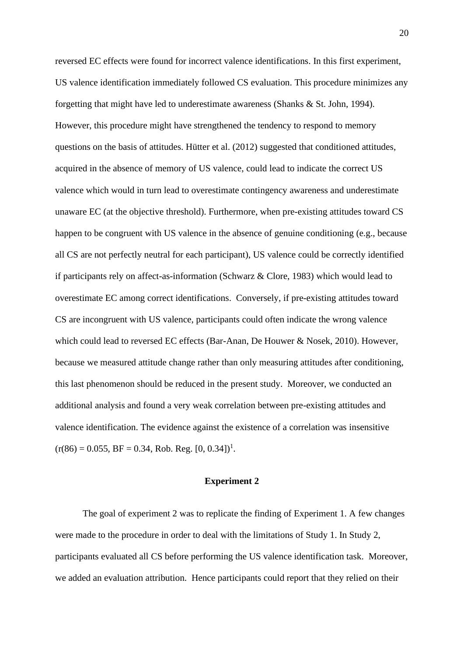reversed EC effects were found for incorrect valence identifications. In this first experiment, US valence identification immediately followed CS evaluation. This procedure minimizes any forgetting that might have led to underestimate awareness (Shanks & St. John, 1994). However, this procedure might have strengthened the tendency to respond to memory questions on the basis of attitudes. Hütter et al. (2012) suggested that conditioned attitudes, acquired in the absence of memory of US valence, could lead to indicate the correct US valence which would in turn lead to overestimate contingency awareness and underestimate unaware EC (at the objective threshold). Furthermore, when pre-existing attitudes toward CS happen to be congruent with US valence in the absence of genuine conditioning (e.g., because all CS are not perfectly neutral for each participant), US valence could be correctly identified if participants rely on affect-as-information (Schwarz & Clore, 1983) which would lead to overestimate EC among correct identifications. Conversely, if pre-existing attitudes toward CS are incongruent with US valence, participants could often indicate the wrong valence which could lead to reversed EC effects (Bar-Anan, De Houwer & Nosek, 2010). However, because we measured attitude change rather than only measuring attitudes after conditioning, this last phenomenon should be reduced in the present study. Moreover, we conducted an additional analysis and found a very weak correlation between pre-existing attitudes and valence identification. The evidence against the existence of a correlation was insensitive  $(r(86) = 0.055, BF = 0.34, Rob. Reg. [0, 0.34])<sup>1</sup>.$ 

#### **Experiment 2**

The goal of experiment 2 was to replicate the finding of Experiment 1. A few changes were made to the procedure in order to deal with the limitations of Study 1. In Study 2, participants evaluated all CS before performing the US valence identification task. Moreover, we added an evaluation attribution. Hence participants could report that they relied on their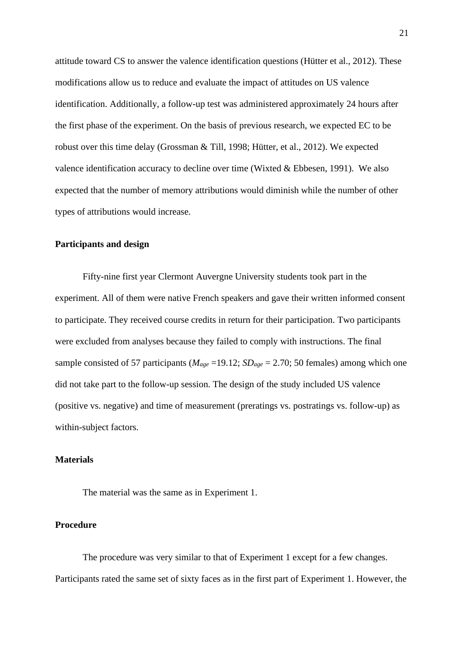attitude toward CS to answer the valence identification questions (Hütter et al., 2012). These modifications allow us to reduce and evaluate the impact of attitudes on US valence identification. Additionally, a follow-up test was administered approximately 24 hours after the first phase of the experiment. On the basis of previous research, we expected EC to be robust over this time delay (Grossman & Till, 1998; Hütter, et al., 2012). We expected valence identification accuracy to decline over time (Wixted & Ebbesen, 1991). We also expected that the number of memory attributions would diminish while the number of other types of attributions would increase.

# **Participants and design**

Fifty-nine first year Clermont Auvergne University students took part in the experiment. All of them were native French speakers and gave their written informed consent to participate. They received course credits in return for their participation. Two participants were excluded from analyses because they failed to comply with instructions. The final sample consisted of 57 participants ( $M_{\text{age}} = 19.12$ ;  $SD_{\text{age}} = 2.70$ ; 50 females) among which one did not take part to the follow-up session. The design of the study included US valence (positive vs. negative) and time of measurement (preratings vs. postratings vs. follow-up) as within-subject factors.

# **Materials**

The material was the same as in Experiment 1.

# **Procedure**

The procedure was very similar to that of Experiment 1 except for a few changes. Participants rated the same set of sixty faces as in the first part of Experiment 1. However, the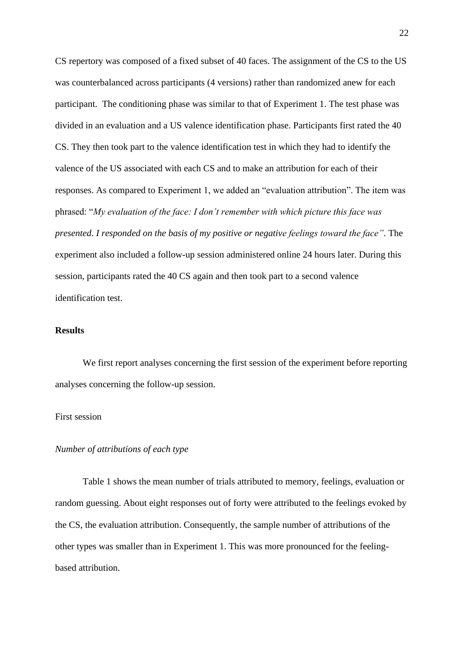CS repertory was composed of a fixed subset of 40 faces. The assignment of the CS to the US was counterbalanced across participants (4 versions) rather than randomized anew for each participant. The conditioning phase was similar to that of Experiment 1. The test phase was divided in an evaluation and a US valence identification phase. Participants first rated the 40 CS. They then took part to the valence identification test in which they had to identify the valence of the US associated with each CS and to make an attribution for each of their responses. As compared to Experiment 1, we added an "evaluation attribution". The item was phrased: "*My evaluation of the face: I don't remember with which picture this face was presented*. *I responded on the basis of my positive or negative feelings toward the face"*. The experiment also included a follow-up session administered online 24 hours later. During this session, participants rated the 40 CS again and then took part to a second valence identification test.

# **Results**

We first report analyses concerning the first session of the experiment before reporting analyses concerning the follow-up session.

# First session

# *Number of attributions of each type*

Table 1 shows the mean number of trials attributed to memory, feelings, evaluation or random guessing. About eight responses out of forty were attributed to the feelings evoked by the CS, the evaluation attribution. Consequently, the sample number of attributions of the other types was smaller than in Experiment 1. This was more pronounced for the feelingbased attribution.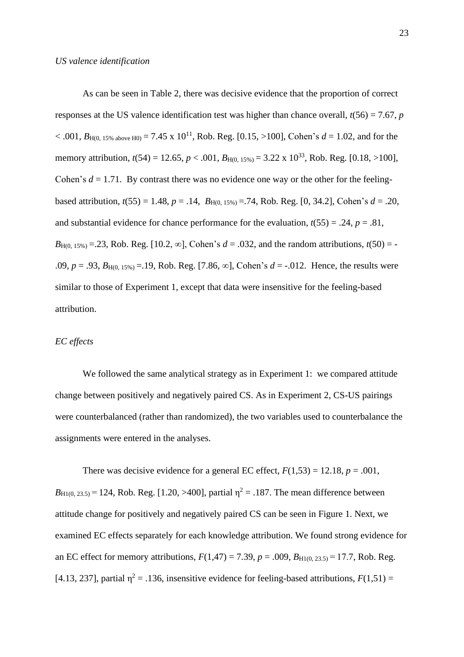As can be seen in Table 2, there was decisive evidence that the proportion of correct responses at the US valence identification test was higher than chance overall,  $t(56) = 7.67$ , *p*  $< .001$ ,  $B_{H(0.15\% \text{ above H0})} = 7.45 \times 10^{11}$ , Rob. Reg. [0.15, >100], Cohen's  $d = 1.02$ , and for the memory attribution,  $t(54) = 12.65$ ,  $p < .001$ ,  $B_{H(0.15\%)} = 3.22 \times 10^{33}$ , Rob. Reg. [0.18, >100], Cohen's  $d = 1.71$ . By contrast there was no evidence one way or the other for the feelingbased attribution,  $t(55) = 1.48$ ,  $p = .14$ ,  $B_{H(0, 15\%)} = .74$ , Rob. Reg. [0, 34.2], Cohen's  $d = .20$ , and substantial evidence for chance performance for the evaluation,  $t(55) = .24$ ,  $p = .81$ , *B*<sub>H(0, 15%)</sub> = .23, Rob. Reg. [10.2,  $\infty$ ], Cohen's *d* = .032, and the random attributions, *t*(50) = -.09,  $p = .93$ ,  $B_{H(0, 15\%)} = .19$ , Rob. Reg. [7.86,  $\infty$ ], Cohen's  $d = -.012$ . Hence, the results were similar to those of Experiment 1, except that data were insensitive for the feeling-based attribution.

#### *EC effects*

We followed the same analytical strategy as in Experiment 1: we compared attitude change between positively and negatively paired CS. As in Experiment 2, CS-US pairings were counterbalanced (rather than randomized), the two variables used to counterbalance the assignments were entered in the analyses.

There was decisive evidence for a general EC effect,  $F(1,53) = 12.18$ ,  $p = .001$ ,  $B_{\text{H1}(0, 23.5)} = 124$ , Rob. Reg. [1.20, >400], partial  $\eta^2 = .187$ . The mean difference between attitude change for positively and negatively paired CS can be seen in Figure 1. Next, we examined EC effects separately for each knowledge attribution. We found strong evidence for an EC effect for memory attributions,  $F(1,47) = 7.39$ ,  $p = .009$ ,  $B_{H1(0, 23.5)} = 17.7$ , Rob. Reg. [4.13, 237], partial  $\eta^2 = .136$ , insensitive evidence for feeling-based attributions,  $F(1,51) =$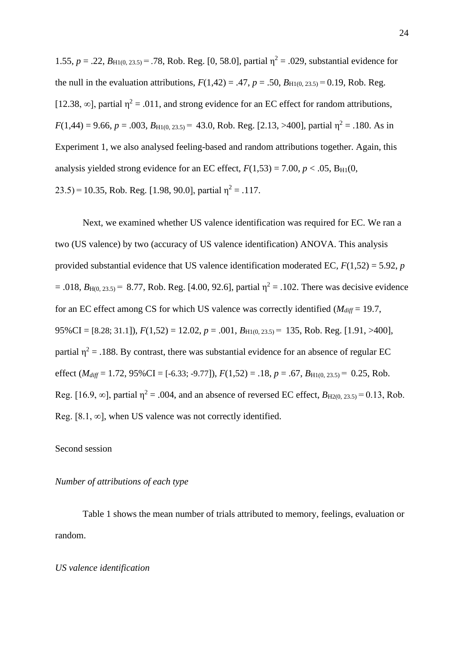1.55,  $p = .22$ ,  $B_{\text{H1}(0, 23.5)} = .78$ , Rob. Reg. [0, 58.0], partial  $\eta^2 = .029$ , substantial evidence for the null in the evaluation attributions,  $F(1,42) = .47$ ,  $p = .50$ ,  $B_{H1(0, 23.5)} = 0.19$ , Rob. Reg. [12.38,  $\infty$ ], partial  $\eta^2 = .011$ , and strong evidence for an EC effect for random attributions,  $F(1,44) = 9.66$ ,  $p = .003$ ,  $B_{\text{H1}(0, 23.5)} = 43.0$ , Rob. Reg. [2.13, >400], partial  $\eta^2 = .180$ . As in Experiment 1, we also analysed feeling-based and random attributions together. Again, this analysis yielded strong evidence for an EC effect,  $F(1,53) = 7.00$ ,  $p < .05$ ,  $B_{H1}(0,$  $(23.5) = 10.35$ , Rob. Reg. [1.98, 90.0], partial  $\eta^2 = .117$ .

Next, we examined whether US valence identification was required for EC. We ran a two (US valence) by two (accuracy of US valence identification) ANOVA. This analysis provided substantial evidence that US valence identification moderated EC, *F*(1,52) = 5.92, *p*  $= .018$ ,  $B_{\text{H}(0, 23.5)} = 8.77$ , Rob. Reg. [4.00, 92.6], partial  $\eta^2 = .102$ . There was decisive evidence for an EC effect among CS for which US valence was correctly identified (*Mdiff* = 19.7, 95%CI = [8.28; 31.1]), *F*(1,52) = 12.02, *p* = .001, *B*H1(0, 23.5) =  135, Rob. Reg. [1.91, >400], partial  $\eta^2$  = .188. By contrast, there was substantial evidence for an absence of regular EC effect ( $M_{diff} = 1.72$ ,  $95\%$ CI = [-6.33; -9.77]),  $F(1,52) = .18$ ,  $p = .67$ ,  $B_{H1(0, 23.5)} = .0.25$ , Rob. Reg. [16.9,  $\infty$ ], partial  $\eta^2 = .004$ , and an absence of reversed EC effect,  $B_{H2(0, 23.5)} = 0.13$ , Rob. Reg. [8.1,  $\infty$ ], when US valence was not correctly identified.

## Second session

#### *Number of attributions of each type*

Table 1 shows the mean number of trials attributed to memory, feelings, evaluation or random.

# *US valence identification*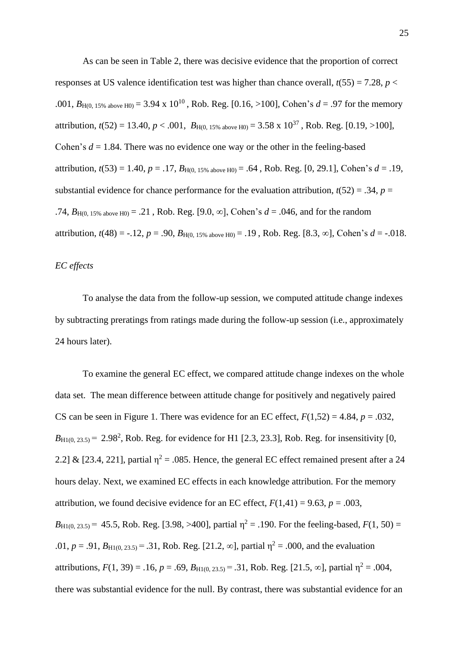As can be seen in Table 2, there was decisive evidence that the proportion of correct responses at US valence identification test was higher than chance overall,  $t(55) = 7.28$ ,  $p <$ .001,  $B_{H(0.15\% \text{ above H0})} = 3.94 \times 10^{10}$ , Rob. Reg. [0.16, >100], Cohen's  $d = .97$  for the memory attribution,  $t(52) = 13.40$ ,  $p < .001$ ,  $B_{H(0.15\% \text{ above H0})} = 3.58 \times 10^{37}$ , Rob. Reg. [0.19, >100], Cohen's  $d = 1.84$ . There was no evidence one way or the other in the feeling-based attribution,  $t(53) = 1.40$ ,  $p = .17$ ,  $B_{H(0, 15\% \text{ above H0})} = .64$ , Rob. Reg. [0, 29.1], Cohen's  $d = .19$ , substantial evidence for chance performance for the evaluation attribution,  $t(52) = .34$ ,  $p =$ .74,  $B_{H(0, 15\% \text{ above H0})} = .21$ , Rob. Reg. [9.0,  $\infty$ ], Cohen's  $d = .046$ , and for the random attribution,  $t(48) = -.12$ ,  $p = .90$ ,  $B_{H(0, 15\% \text{ above H0})} = .19$ , Rob. Reg. [8.3,  $\infty$ ], Cohen's  $d = -.018$ .

## *EC effects*

To analyse the data from the follow-up session, we computed attitude change indexes by subtracting preratings from ratings made during the follow-up session (i.e., approximately 24 hours later).

To examine the general EC effect, we compared attitude change indexes on the whole data set. The mean difference between attitude change for positively and negatively paired CS can be seen in Figure 1. There was evidence for an EC effect,  $F(1,52) = 4.84$ ,  $p = .032$ ,  $B_{\text{H1}(0, 23.5)} = 2.98^2$ , Rob. Reg. for evidence for H1 [2.3, 23.3], Rob. Reg. for insensitivity [0, 2.2] & [23.4, 221], partial  $\eta^2 = .085$ . Hence, the general EC effect remained present after a 24 hours delay. Next, we examined EC effects in each knowledge attribution. For the memory attribution, we found decisive evidence for an EC effect,  $F(1,41) = 9.63$ ,  $p = .003$ ,  $B_{\text{H1}(0, 23.5)} = 45.5$ , Rob. Reg. [3.98, >400], partial  $\eta^2 = .190$ . For the feeling-based,  $F(1, 50) =$ .01,  $p = .91$ ,  $B_{\text{H1}(0, 23.5)} = .31$ , Rob. Reg. [21.2,  $\infty$ ], partial  $\eta^2 = .000$ , and the evaluation attributions,  $F(1, 39) = .16$ ,  $p = .69$ ,  $B_{\text{H1}(0, 23.5)} = .31$ , Rob. Reg. [21.5,  $\infty$ ], partial  $\eta^2 = .004$ , there was substantial evidence for the null. By contrast, there was substantial evidence for an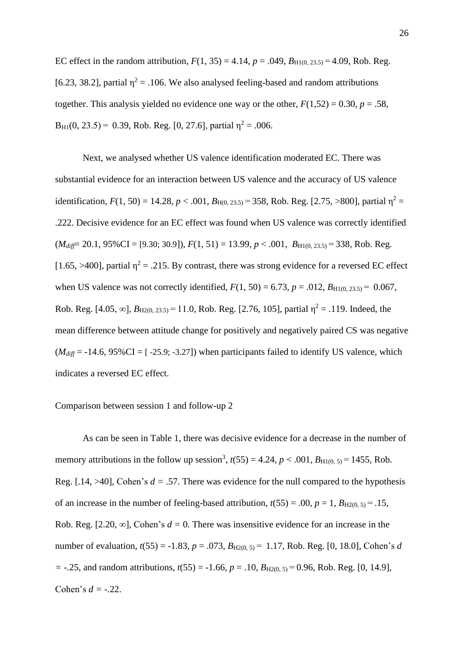EC effect in the random attribution,  $F(1, 35) = 4.14$ ,  $p = .049$ ,  $B_{H1(0, 23.5)} = 4.09$ , Rob. Reg. [6.23, 38.2], partial  $\eta^2 = 0.106$ . We also analysed feeling-based and random attributions together. This analysis yielded no evidence one way or the other,  $F(1,52) = 0.30$ ,  $p = .58$ ,  $B_{H1}(0, 23.5) = 0.39$ , Rob. Reg. [0, 27.6], partial  $\eta^2 = .006$ .

Next, we analysed whether US valence identification moderated EC. There was substantial evidence for an interaction between US valence and the accuracy of US valence identification,  $F(1, 50) = 14.28$ ,  $p < .001$ ,  $B_{H(0, 23.5)} = 358$ , Rob. Reg. [2.75, >800], partial  $\eta^2 =$ .222. Decisive evidence for an EC effect was found when US valence was correctly identified  $(M_{diff} = 20.1, 95\% \text{CI} = [9.30; 30.9], F(1, 51) = 13.99, p < .001, B_{H1(0, 23.5)} = 338, \text{Rob. Reg.}$ [1.65, >400], partial  $\eta^2 = .215$ . By contrast, there was strong evidence for a reversed EC effect when US valence was not correctly identified,  $F(1, 50) = 6.73$ ,  $p = .012$ ,  $B_{\text{H1}(0, 23.5)} = 0.067$ , Rob. Reg. [4.05,  $\infty$ ],  $B_{\text{H2}(0, 23.5)} = 11.0$ , Rob. Reg. [2.76, 105], partial  $\eta^2 = .119$ . Indeed, the mean difference between attitude change for positively and negatively paired CS was negative  $(M_{diff} = -14.6, 95\% \text{CI} = [-25.9; -3.27])$  when participants failed to identify US valence, which indicates a reversed EC effect.

# Comparison between session 1 and follow-up 2

As can be seen in Table 1, there was decisive evidence for a decrease in the number of memory attributions in the follow up session<sup>3</sup>,  $t(55) = 4.24$ ,  $p < .001$ ,  $B_{\text{H1}(0, 5)} = 1455$ , Rob. Reg.  $[.14, >40]$ , Cohen's  $d = .57$ . There was evidence for the null compared to the hypothesis of an increase in the number of feeling-based attribution,  $t(55) = .00$ ,  $p = 1$ ,  $B_{H2(0, 5)} = .15$ , Rob. Reg. [2.20,  $\infty$ ], Cohen's  $d = 0$ . There was insensitive evidence for an increase in the number of evaluation,  $t(55) = -1.83$ ,  $p = .073$ ,  $B_{H2(0, 5)} = 1.17$ , Rob. Reg. [0, 18.0], Cohen's *d = -.*25, and random attributions, *t*(55) = -1.66, *p* = .10, *B*H2(0, 5) = 0.96, Rob. Reg. [0, 14.9], Cohen's *d = -.*22.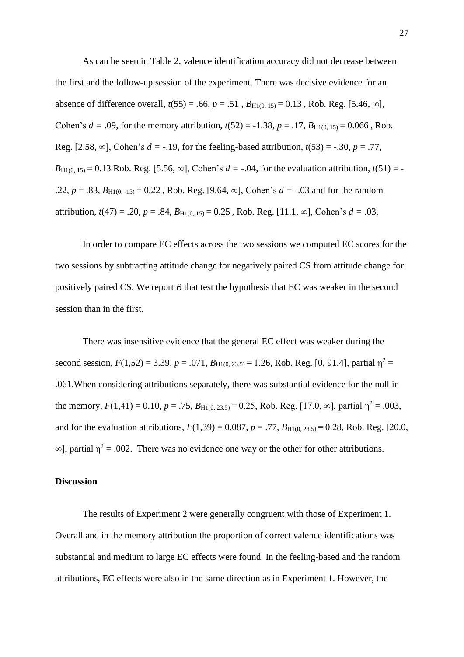As can be seen in Table 2, valence identification accuracy did not decrease between the first and the follow-up session of the experiment. There was decisive evidence for an absence of difference overall,  $t(55) = .66$ ,  $p = .51$ ,  $B_{H1(0, 15)} = 0.13$ , Rob. Reg. [5.46,  $\infty$ ], Cohen's  $d = .09$ , for the memory attribution,  $t(52) = -1.38$ ,  $p = .17$ ,  $B_{H1(0, 15)} = 0.066$ , Rob. Reg. [2.58,  $\infty$ ], Cohen's  $d = -19$ , for the feeling-based attribution,  $t(53) = -0.30$ ,  $p = 0.77$ ,  $B_{\text{H1}(0, 15)} = 0.13$  Rob. Reg. [5.56,  $\infty$ ], Cohen's  $d = -0.04$ , for the evaluation attribution,  $t(51) = -0.13$ .22,  $p = .83$ ,  $B_{\text{H1}(0, -15)} = 0.22$ , Rob. Reg. [9.64,  $\infty$ ], Cohen's  $d = -.03$  and for the random attribution,  $t(47) = .20$ ,  $p = .84$ ,  $B_{H1(0, 15)} = 0.25$ , Rob. Reg. [11.1, ∞], Cohen's  $d = .03$ .

In order to compare EC effects across the two sessions we computed EC scores for the two sessions by subtracting attitude change for negatively paired CS from attitude change for positively paired CS. We report *B* that test the hypothesis that EC was weaker in the second session than in the first.

There was insensitive evidence that the general EC effect was weaker during the second session,  $F(1,52) = 3.39$ ,  $p = .071$ ,  $B_{H1(0, 23.5)} = 1.26$ , Rob. Reg. [0, 91.4], partial  $\eta^2 =$ .061.When considering attributions separately, there was substantial evidence for the null in the memory,  $F(1,41) = 0.10$ ,  $p = .75$ ,  $B_{H1(0, 23.5)} = 0.25$ , Rob. Reg. [17.0,  $\infty$ ], partial  $\eta^2 = .003$ , and for the evaluation attributions,  $F(1,39) = 0.087$ ,  $p = .77$ ,  $B_{\text{H1}(0, 23.5)} = 0.28$ , Rob. Reg. [20.0,  $\infty$ ], partial  $\eta^2 = .002$ . There was no evidence one way or the other for other attributions.

#### **Discussion**

The results of Experiment 2 were generally congruent with those of Experiment 1. Overall and in the memory attribution the proportion of correct valence identifications was substantial and medium to large EC effects were found. In the feeling-based and the random attributions, EC effects were also in the same direction as in Experiment 1. However, the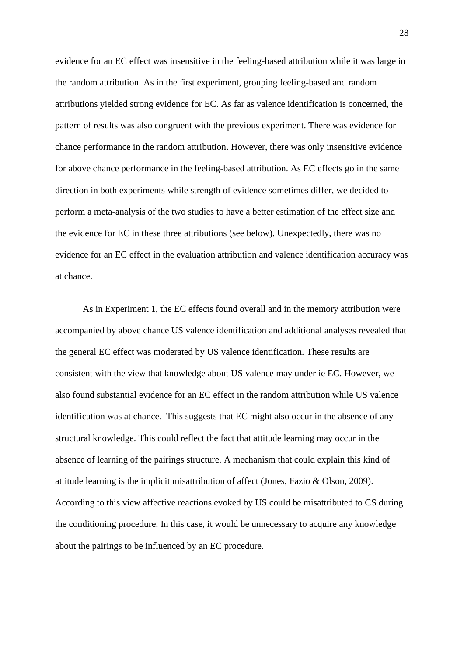evidence for an EC effect was insensitive in the feeling-based attribution while it was large in the random attribution. As in the first experiment, grouping feeling-based and random attributions yielded strong evidence for EC. As far as valence identification is concerned, the pattern of results was also congruent with the previous experiment. There was evidence for chance performance in the random attribution. However, there was only insensitive evidence for above chance performance in the feeling-based attribution. As EC effects go in the same direction in both experiments while strength of evidence sometimes differ, we decided to perform a meta-analysis of the two studies to have a better estimation of the effect size and the evidence for EC in these three attributions (see below). Unexpectedly, there was no evidence for an EC effect in the evaluation attribution and valence identification accuracy was at chance.

As in Experiment 1, the EC effects found overall and in the memory attribution were accompanied by above chance US valence identification and additional analyses revealed that the general EC effect was moderated by US valence identification. These results are consistent with the view that knowledge about US valence may underlie EC. However, we also found substantial evidence for an EC effect in the random attribution while US valence identification was at chance. This suggests that EC might also occur in the absence of any structural knowledge. This could reflect the fact that attitude learning may occur in the absence of learning of the pairings structure. A mechanism that could explain this kind of attitude learning is the implicit misattribution of affect (Jones, Fazio & Olson, 2009). According to this view affective reactions evoked by US could be misattributed to CS during the conditioning procedure. In this case, it would be unnecessary to acquire any knowledge about the pairings to be influenced by an EC procedure.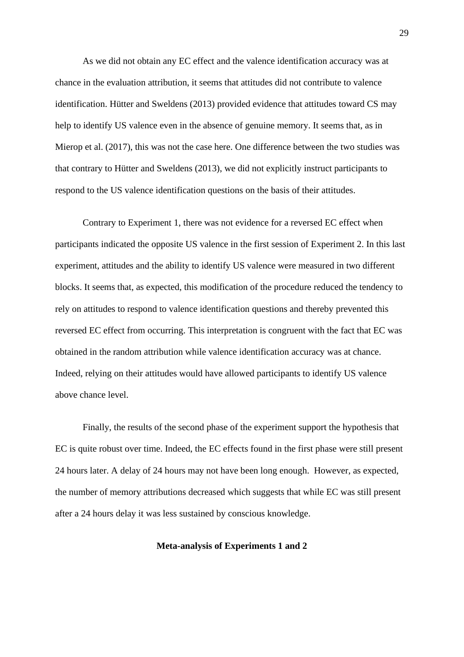As we did not obtain any EC effect and the valence identification accuracy was at chance in the evaluation attribution, it seems that attitudes did not contribute to valence identification. Hütter and Sweldens (2013) provided evidence that attitudes toward CS may help to identify US valence even in the absence of genuine memory. It seems that, as in Mierop et al. (2017), this was not the case here. One difference between the two studies was that contrary to Hütter and Sweldens (2013), we did not explicitly instruct participants to respond to the US valence identification questions on the basis of their attitudes.

Contrary to Experiment 1, there was not evidence for a reversed EC effect when participants indicated the opposite US valence in the first session of Experiment 2. In this last experiment, attitudes and the ability to identify US valence were measured in two different blocks. It seems that, as expected, this modification of the procedure reduced the tendency to rely on attitudes to respond to valence identification questions and thereby prevented this reversed EC effect from occurring. This interpretation is congruent with the fact that EC was obtained in the random attribution while valence identification accuracy was at chance. Indeed, relying on their attitudes would have allowed participants to identify US valence above chance level.

Finally, the results of the second phase of the experiment support the hypothesis that EC is quite robust over time. Indeed, the EC effects found in the first phase were still present 24 hours later. A delay of 24 hours may not have been long enough. However, as expected, the number of memory attributions decreased which suggests that while EC was still present after a 24 hours delay it was less sustained by conscious knowledge.

#### **Meta-analysis of Experiments 1 and 2**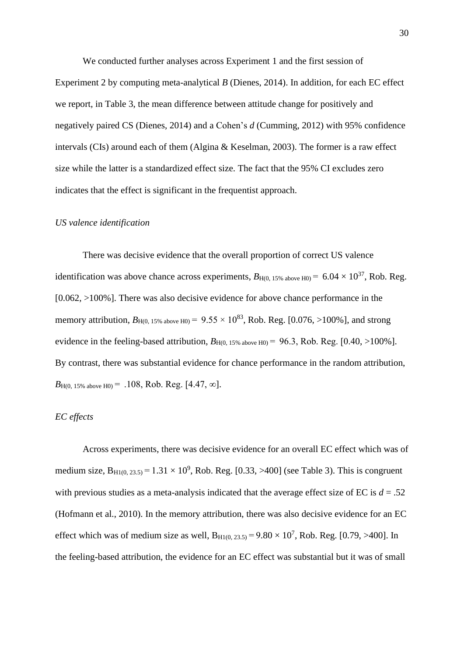We conducted further analyses across Experiment 1 and the first session of Experiment 2 by computing meta-analytical *B* (Dienes, 2014). In addition, for each EC effect we report, in Table 3, the mean difference between attitude change for positively and negatively paired CS (Dienes, 2014) and a Cohen's *d* (Cumming, 2012) with 95% confidence intervals (CIs) around each of them (Algina & Keselman, 2003). The former is a raw effect size while the latter is a standardized effect size. The fact that the 95% CI excludes zero indicates that the effect is significant in the frequentist approach.

#### *US valence identification*

There was decisive evidence that the overall proportion of correct US valence identification was above chance across experiments,  $B_{H(0, 15\% \text{ above H0})} = 6.04 \times 10^{37}$ , Rob. Reg.  $[0.062, >100\%]$ . There was also decisive evidence for above chance performance in the memory attribution,  $B_{H(0, 15\% \text{ above H0})} = 9.55 \times 10^{83}$ , Rob. Reg. [0.076, >100%], and strong evidence in the feeling-based attribution,  $B_{H(0.15\% \text{ above H0})} = 96.3$ , Rob. Reg. [0.40, >100%]. By contrast, there was substantial evidence for chance performance in the random attribution,  $B_{\text{H}(0, 15\% \text{ above H0})} = .108$ , Rob. Reg. [4.47,  $\infty$ ].

# *EC effects*

Across experiments, there was decisive evidence for an overall EC effect which was of medium size,  $B_{H1(0, 23.5)} = 1.31 \times 10^9$ , Rob. Reg. [0.33, >400] (see Table 3). This is congruent with previous studies as a meta-analysis indicated that the average effect size of EC is  $d = .52$ (Hofmann et al., 2010). In the memory attribution, there was also decisive evidence for an EC effect which was of medium size as well,  $B_{H1(0, 23.5)} = 9.80 \times 10^7$ , Rob. Reg. [0.79, >400]. In the feeling-based attribution, the evidence for an EC effect was substantial but it was of small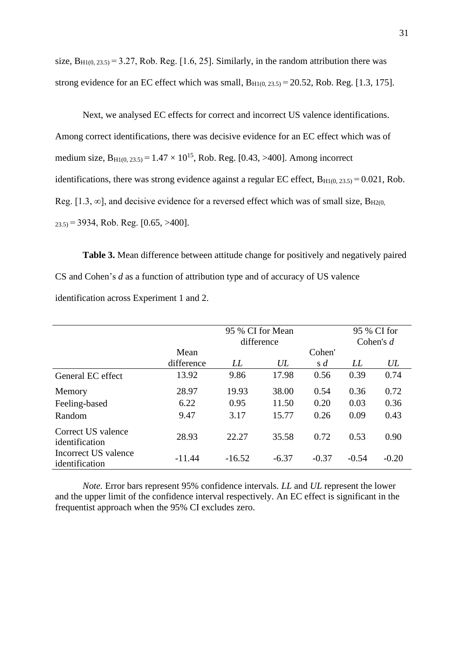size,  $B_{H1(0, 23.5)} = 3.27$ , Rob. Reg. [1.6, 25]. Similarly, in the random attribution there was strong evidence for an EC effect which was small,  $B_{H1(0, 23.5)} = 20.52$ , Rob. Reg. [1.3, 175].

Next, we analysed EC effects for correct and incorrect US valence identifications. Among correct identifications, there was decisive evidence for an EC effect which was of medium size,  $B_{H1(0, 23.5)} = 1.47 \times 10^{15}$ , Rob. Reg. [0.43, >400]. Among incorrect identifications, there was strong evidence against a regular EC effect,  $B_{H1(0, 23.5)} = 0.021$ , Rob. Reg. [1.3,  $\infty$ ], and decisive evidence for a reversed effect which was of small size,  $B_{H2(0)}$  $_{23.5}$  = 3934, Rob. Reg. [0.65, >400].

**Table 3.** Mean difference between attitude change for positively and negatively paired CS and Cohen's *d* as a function of attribution type and of accuracy of US valence identification across Experiment 1 and 2.

|                                        | 95 % CI for Mean<br>difference |          |         | 95 % CI for<br>Cohen's $d$ |         |         |
|----------------------------------------|--------------------------------|----------|---------|----------------------------|---------|---------|
|                                        | Mean                           |          |         | Cohen'                     |         |         |
|                                        | difference                     | LL       | UL      | $s \, d$                   | LL      | UL      |
| General EC effect                      | 13.92                          | 9.86     | 17.98   | 0.56                       | 0.39    | 0.74    |
| Memory                                 | 28.97                          | 19.93    | 38.00   | 0.54                       | 0.36    | 0.72    |
| Feeling-based                          | 6.22                           | 0.95     | 11.50   | 0.20                       | 0.03    | 0.36    |
| Random                                 | 9.47                           | 3.17     | 15.77   | 0.26                       | 0.09    | 0.43    |
| Correct US valence<br>identification   | 28.93                          | 22.27    | 35.58   | 0.72                       | 0.53    | 0.90    |
| Incorrect US valence<br>identification | $-11.44$                       | $-16.52$ | $-6.37$ | $-0.37$                    | $-0.54$ | $-0.20$ |

*Note.* Error bars represent 95% confidence intervals. *LL* and *UL* represent the lower and the upper limit of the confidence interval respectively. An EC effect is significant in the frequentist approach when the 95% CI excludes zero.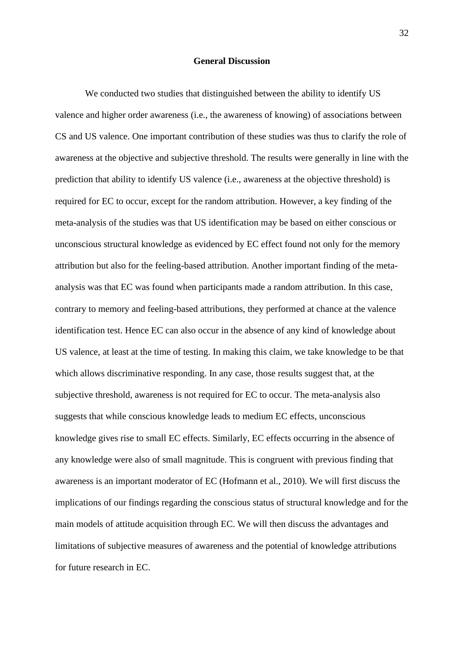# **General Discussion**

We conducted two studies that distinguished between the ability to identify US valence and higher order awareness (i.e., the awareness of knowing) of associations between CS and US valence. One important contribution of these studies was thus to clarify the role of awareness at the objective and subjective threshold. The results were generally in line with the prediction that ability to identify US valence (i.e., awareness at the objective threshold) is required for EC to occur, except for the random attribution. However, a key finding of the meta-analysis of the studies was that US identification may be based on either conscious or unconscious structural knowledge as evidenced by EC effect found not only for the memory attribution but also for the feeling-based attribution. Another important finding of the metaanalysis was that EC was found when participants made a random attribution. In this case, contrary to memory and feeling-based attributions, they performed at chance at the valence identification test. Hence EC can also occur in the absence of any kind of knowledge about US valence, at least at the time of testing. In making this claim, we take knowledge to be that which allows discriminative responding. In any case, those results suggest that, at the subjective threshold, awareness is not required for EC to occur. The meta-analysis also suggests that while conscious knowledge leads to medium EC effects, unconscious knowledge gives rise to small EC effects. Similarly, EC effects occurring in the absence of any knowledge were also of small magnitude. This is congruent with previous finding that awareness is an important moderator of EC (Hofmann et al., 2010). We will first discuss the implications of our findings regarding the conscious status of structural knowledge and for the main models of attitude acquisition through EC. We will then discuss the advantages and limitations of subjective measures of awareness and the potential of knowledge attributions for future research in EC.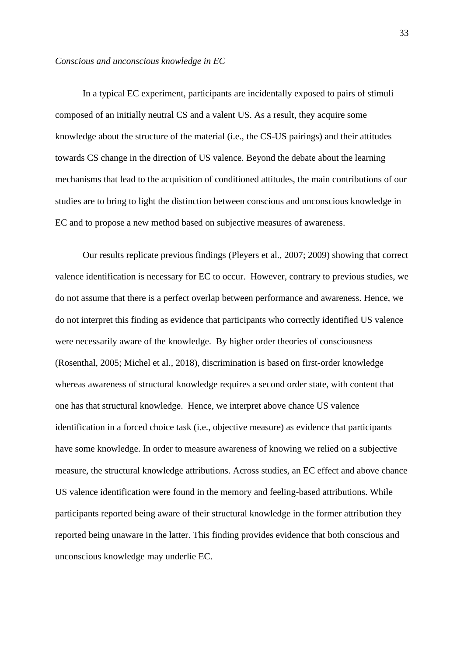#### *Conscious and unconscious knowledge in EC*

In a typical EC experiment, participants are incidentally exposed to pairs of stimuli composed of an initially neutral CS and a valent US. As a result, they acquire some knowledge about the structure of the material (i.e., the CS-US pairings) and their attitudes towards CS change in the direction of US valence. Beyond the debate about the learning mechanisms that lead to the acquisition of conditioned attitudes, the main contributions of our studies are to bring to light the distinction between conscious and unconscious knowledge in EC and to propose a new method based on subjective measures of awareness.

Our results replicate previous findings (Pleyers et al., 2007; 2009) showing that correct valence identification is necessary for EC to occur. However, contrary to previous studies, we do not assume that there is a perfect overlap between performance and awareness. Hence, we do not interpret this finding as evidence that participants who correctly identified US valence were necessarily aware of the knowledge. By higher order theories of consciousness (Rosenthal, 2005; Michel et al., 2018), discrimination is based on first-order knowledge whereas awareness of structural knowledge requires a second order state, with content that one has that structural knowledge. Hence, we interpret above chance US valence identification in a forced choice task (i.e., objective measure) as evidence that participants have some knowledge. In order to measure awareness of knowing we relied on a subjective measure, the structural knowledge attributions. Across studies, an EC effect and above chance US valence identification were found in the memory and feeling-based attributions. While participants reported being aware of their structural knowledge in the former attribution they reported being unaware in the latter. This finding provides evidence that both conscious and unconscious knowledge may underlie EC.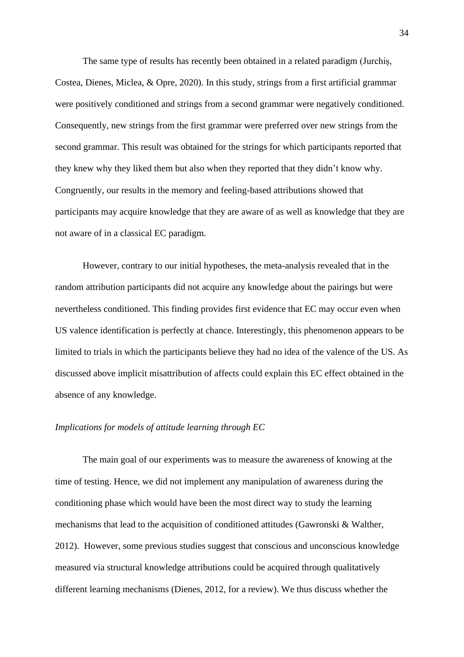The same type of results has recently been obtained in a related paradigm (Jurchiș, Costea, Dienes, Miclea, & Opre, 2020). In this study, strings from a first artificial grammar were positively conditioned and strings from a second grammar were negatively conditioned. Consequently, new strings from the first grammar were preferred over new strings from the second grammar. This result was obtained for the strings for which participants reported that they knew why they liked them but also when they reported that they didn't know why. Congruently, our results in the memory and feeling-based attributions showed that participants may acquire knowledge that they are aware of as well as knowledge that they are not aware of in a classical EC paradigm.

However, contrary to our initial hypotheses, the meta-analysis revealed that in the random attribution participants did not acquire any knowledge about the pairings but were nevertheless conditioned. This finding provides first evidence that EC may occur even when US valence identification is perfectly at chance. Interestingly, this phenomenon appears to be limited to trials in which the participants believe they had no idea of the valence of the US. As discussed above implicit misattribution of affects could explain this EC effect obtained in the absence of any knowledge.

# *Implications for models of attitude learning through EC*

The main goal of our experiments was to measure the awareness of knowing at the time of testing. Hence, we did not implement any manipulation of awareness during the conditioning phase which would have been the most direct way to study the learning mechanisms that lead to the acquisition of conditioned attitudes (Gawronski & Walther, 2012). However, some previous studies suggest that conscious and unconscious knowledge measured via structural knowledge attributions could be acquired through qualitatively different learning mechanisms (Dienes, 2012, for a review). We thus discuss whether the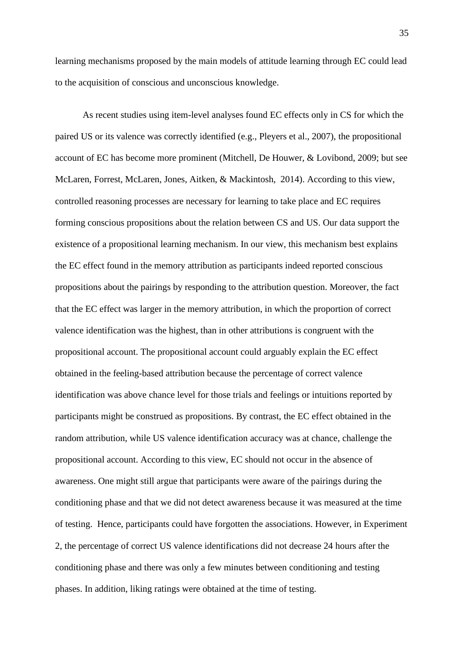learning mechanisms proposed by the main models of attitude learning through EC could lead to the acquisition of conscious and unconscious knowledge.

As recent studies using item-level analyses found EC effects only in CS for which the paired US or its valence was correctly identified (e.g., Pleyers et al., 2007), the propositional account of EC has become more prominent (Mitchell, De Houwer, & Lovibond, 2009; but see McLaren, Forrest, McLaren, Jones, Aitken, & Mackintosh, 2014). According to this view, controlled reasoning processes are necessary for learning to take place and EC requires forming conscious propositions about the relation between CS and US. Our data support the existence of a propositional learning mechanism. In our view, this mechanism best explains the EC effect found in the memory attribution as participants indeed reported conscious propositions about the pairings by responding to the attribution question. Moreover, the fact that the EC effect was larger in the memory attribution, in which the proportion of correct valence identification was the highest, than in other attributions is congruent with the propositional account. The propositional account could arguably explain the EC effect obtained in the feeling-based attribution because the percentage of correct valence identification was above chance level for those trials and feelings or intuitions reported by participants might be construed as propositions. By contrast, the EC effect obtained in the random attribution, while US valence identification accuracy was at chance, challenge the propositional account. According to this view, EC should not occur in the absence of awareness. One might still argue that participants were aware of the pairings during the conditioning phase and that we did not detect awareness because it was measured at the time of testing. Hence, participants could have forgotten the associations. However, in Experiment 2, the percentage of correct US valence identifications did not decrease 24 hours after the conditioning phase and there was only a few minutes between conditioning and testing phases. In addition, liking ratings were obtained at the time of testing.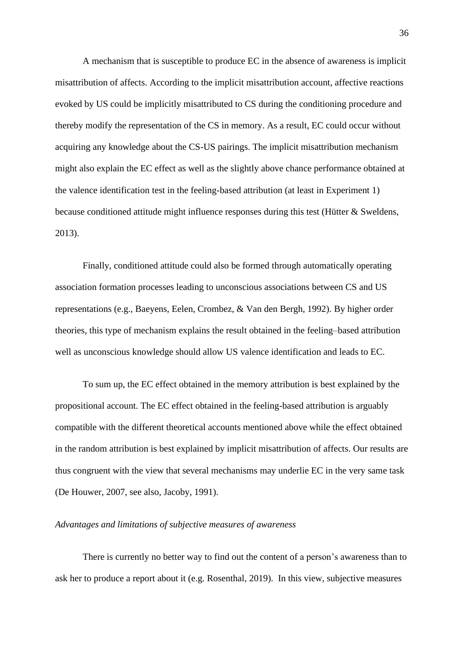A mechanism that is susceptible to produce EC in the absence of awareness is implicit misattribution of affects. According to the implicit misattribution account, affective reactions evoked by US could be implicitly misattributed to CS during the conditioning procedure and thereby modify the representation of the CS in memory. As a result, EC could occur without acquiring any knowledge about the CS-US pairings. The implicit misattribution mechanism might also explain the EC effect as well as the slightly above chance performance obtained at the valence identification test in the feeling-based attribution (at least in Experiment 1) because conditioned attitude might influence responses during this test (Hütter & Sweldens, 2013).

Finally, conditioned attitude could also be formed through automatically operating association formation processes leading to unconscious associations between CS and US representations (e.g., Baeyens, Eelen, Crombez, & Van den Bergh, 1992). By higher order theories, this type of mechanism explains the result obtained in the feeling–based attribution well as unconscious knowledge should allow US valence identification and leads to EC.

To sum up, the EC effect obtained in the memory attribution is best explained by the propositional account. The EC effect obtained in the feeling-based attribution is arguably compatible with the different theoretical accounts mentioned above while the effect obtained in the random attribution is best explained by implicit misattribution of affects. Our results are thus congruent with the view that several mechanisms may underlie EC in the very same task (De Houwer, 2007, see also, Jacoby, 1991).

# *Advantages and limitations of subjective measures of awareness*

There is currently no better way to find out the content of a person's awareness than to ask her to produce a report about it (e.g. Rosenthal, 2019). In this view, subjective measures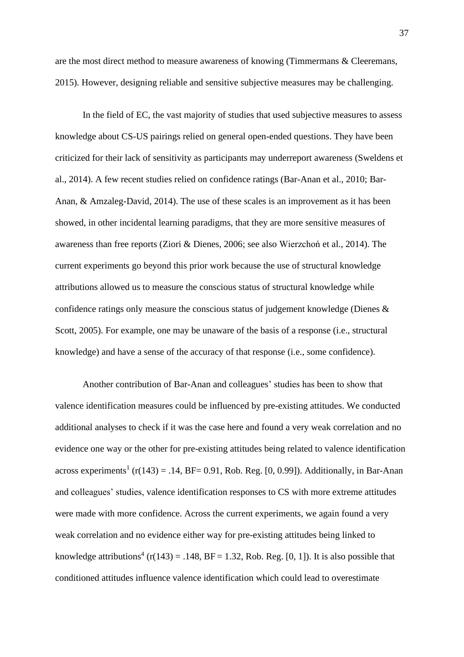are the most direct method to measure awareness of knowing (Timmermans & Cleeremans, 2015). However, designing reliable and sensitive subjective measures may be challenging.

In the field of EC, the vast majority of studies that used subjective measures to assess knowledge about CS-US pairings relied on general open-ended questions. They have been criticized for their lack of sensitivity as participants may underreport awareness (Sweldens et al., 2014). A few recent studies relied on confidence ratings (Bar-Anan et al., 2010; Bar-Anan, & Amzaleg-David, 2014). The use of these scales is an improvement as it has been showed, in other incidental learning paradigms, that they are more sensitive measures of awareness than free reports (Ziori & Dienes, 2006; see also Wierzchoń et al., 2014). The current experiments go beyond this prior work because the use of structural knowledge attributions allowed us to measure the conscious status of structural knowledge while confidence ratings only measure the conscious status of judgement knowledge (Dienes & Scott, 2005). For example, one may be unaware of the basis of a response (i.e., structural knowledge) and have a sense of the accuracy of that response (i.e., some confidence).

Another contribution of Bar-Anan and colleagues' studies has been to show that valence identification measures could be influenced by pre-existing attitudes. We conducted additional analyses to check if it was the case here and found a very weak correlation and no evidence one way or the other for pre-existing attitudes being related to valence identification across experiments<sup>1</sup> ( $r(143) = .14$ , BF= 0.91, Rob. Reg. [0, 0.99]). Additionally, in Bar-Anan and colleagues' studies, valence identification responses to CS with more extreme attitudes were made with more confidence. Across the current experiments, we again found a very weak correlation and no evidence either way for pre-existing attitudes being linked to knowledge attributions<sup>4</sup> ( $r(143) = .148$ ,  $BF = 1.32$ , Rob. Reg. [0, 1]). It is also possible that conditioned attitudes influence valence identification which could lead to overestimate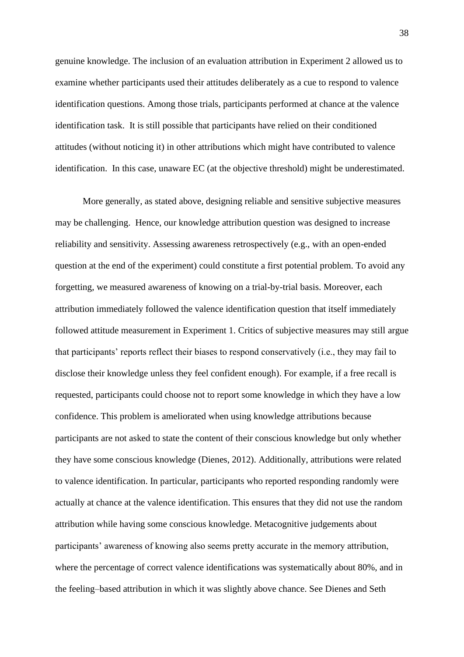genuine knowledge. The inclusion of an evaluation attribution in Experiment 2 allowed us to examine whether participants used their attitudes deliberately as a cue to respond to valence identification questions. Among those trials, participants performed at chance at the valence identification task. It is still possible that participants have relied on their conditioned attitudes (without noticing it) in other attributions which might have contributed to valence identification. In this case, unaware EC (at the objective threshold) might be underestimated.

More generally, as stated above, designing reliable and sensitive subjective measures may be challenging. Hence, our knowledge attribution question was designed to increase reliability and sensitivity. Assessing awareness retrospectively (e.g., with an open-ended question at the end of the experiment) could constitute a first potential problem. To avoid any forgetting, we measured awareness of knowing on a trial-by-trial basis. Moreover, each attribution immediately followed the valence identification question that itself immediately followed attitude measurement in Experiment 1. Critics of subjective measures may still argue that participants' reports reflect their biases to respond conservatively (i.e., they may fail to disclose their knowledge unless they feel confident enough). For example, if a free recall is requested, participants could choose not to report some knowledge in which they have a low confidence. This problem is ameliorated when using knowledge attributions because participants are not asked to state the content of their conscious knowledge but only whether they have some conscious knowledge (Dienes, 2012). Additionally, attributions were related to valence identification. In particular, participants who reported responding randomly were actually at chance at the valence identification. This ensures that they did not use the random attribution while having some conscious knowledge. Metacognitive judgements about participants' awareness of knowing also seems pretty accurate in the memory attribution, where the percentage of correct valence identifications was systematically about 80%, and in the feeling–based attribution in which it was slightly above chance. See Dienes and Seth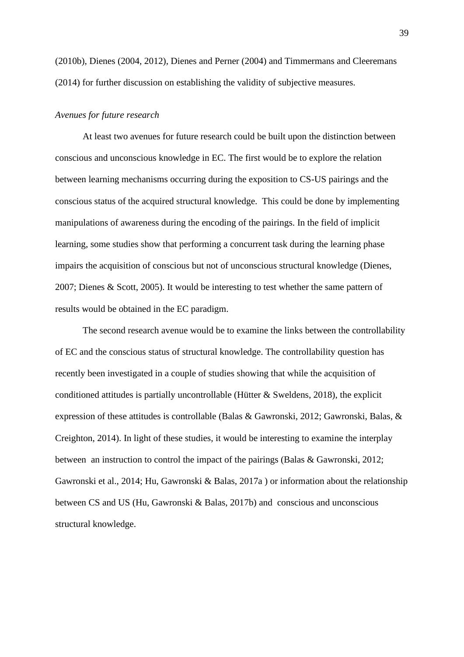(2010b), Dienes (2004, 2012), Dienes and Perner (2004) and Timmermans and Cleeremans (2014) for further discussion on establishing the validity of subjective measures.

# *Avenues for future research*

At least two avenues for future research could be built upon the distinction between conscious and unconscious knowledge in EC. The first would be to explore the relation between learning mechanisms occurring during the exposition to CS-US pairings and the conscious status of the acquired structural knowledge. This could be done by implementing manipulations of awareness during the encoding of the pairings. In the field of implicit learning, some studies show that performing a concurrent task during the learning phase impairs the acquisition of conscious but not of unconscious structural knowledge (Dienes, 2007; Dienes & Scott, 2005). It would be interesting to test whether the same pattern of results would be obtained in the EC paradigm.

The second research avenue would be to examine the links between the controllability of EC and the conscious status of structural knowledge. The controllability question has recently been investigated in a couple of studies showing that while the acquisition of conditioned attitudes is partially uncontrollable (Hütter & Sweldens, 2018), the explicit expression of these attitudes is controllable (Balas & Gawronski, 2012; Gawronski, Balas, & Creighton, 2014). In light of these studies, it would be interesting to examine the interplay between an instruction to control the impact of the pairings (Balas & Gawronski, 2012; Gawronski et al., 2014; Hu, Gawronski & Balas, 2017a ) or information about the relationship between CS and US (Hu, Gawronski & Balas, 2017b) and conscious and unconscious structural knowledge.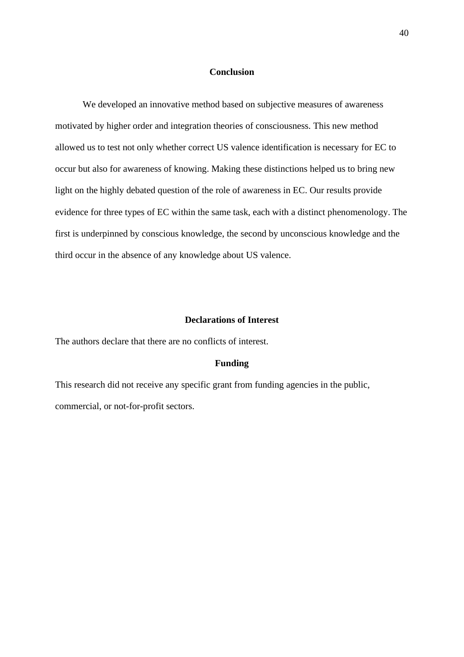#### **Conclusion**

We developed an innovative method based on subjective measures of awareness motivated by higher order and integration theories of consciousness. This new method allowed us to test not only whether correct US valence identification is necessary for EC to occur but also for awareness of knowing. Making these distinctions helped us to bring new light on the highly debated question of the role of awareness in EC. Our results provide evidence for three types of EC within the same task, each with a distinct phenomenology. The first is underpinned by conscious knowledge, the second by unconscious knowledge and the third occur in the absence of any knowledge about US valence.

# **Declarations of Interest**

The authors declare that there are no conflicts of interest.

## **Funding**

This research did not receive any specific grant from funding agencies in the public, commercial, or not-for-profit sectors.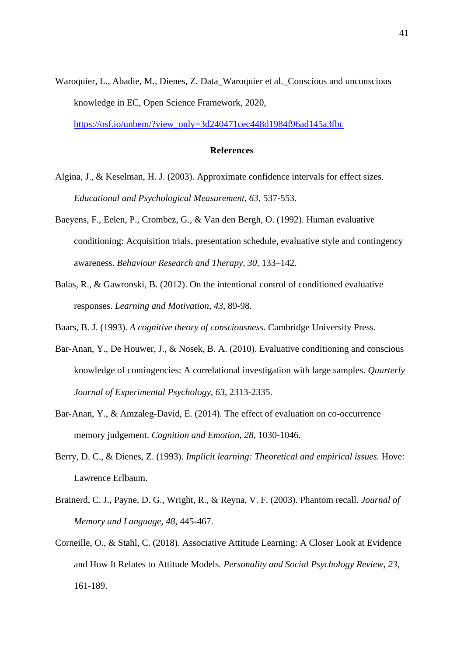Waroquier, L., Abadie, M., Dienes, Z. Data Waroquier et al. Conscious and unconscious knowledge in EC, Open Science Framework, 2020,

[https://osf.io/unbem/?view\\_only=3d240471cec448d1984f96ad145a3fbc](https://osf.io/unbem/?view_only=3d240471cec448d1984f96ad145a3fbc)

# **References**

- Algina, J., & Keselman, H. J. (2003). Approximate confidence intervals for effect sizes. *Educational and Psychological Measurement, 63*, 537-553.
- Baeyens, F., Eelen, P., Crombez, G., & Van den Bergh, O. (1992). Human evaluative conditioning: Acquisition trials, presentation schedule, evaluative style and contingency awareness. *Behaviour Research and Therapy, 30*, 133–142.
- Balas, R., & Gawronski, B. (2012). On the intentional control of conditioned evaluative responses. *Learning and Motivation*, *43*, 89-98.
- Baars, B. J. (1993). *A cognitive theory of consciousness*. Cambridge University Press.
- Bar-Anan, Y., De Houwer, J., & Nosek, B. A. (2010). Evaluative conditioning and conscious knowledge of contingencies: A correlational investigation with large samples. *Quarterly Journal of Experimental Psychology*, *63*, 2313-2335.
- Bar-Anan, Y., & Amzaleg-David, E. (2014). The effect of evaluation on co-occurrence memory judgement. *Cognition and Emotion*, *28*, 1030-1046.
- Berry, D. C., & Dienes, Z. (1993). *Implicit learning: Theoretical and empirical issues.* Hove: Lawrence Erlbaum.
- Brainerd, C. J., Payne, D. G., Wright, R., & Reyna, V. F. (2003). Phantom recall. *Journal of Memory and Language, 48*, 445-467.
- Corneille, O., & Stahl, C. (2018). Associative Attitude Learning: A Closer Look at Evidence and How It Relates to Attitude Models. *Personality and Social Psychology Review, 23*, 161-189.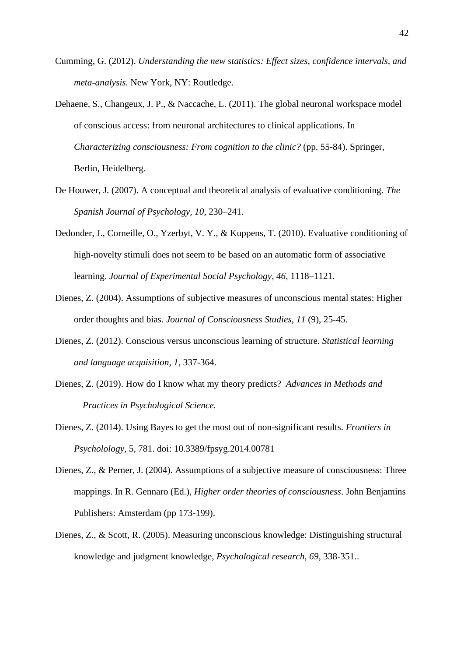- Cumming, G. (2012). *Understanding the new statistics: Effect sizes, confidence intervals, and meta-analysis.* New York, NY: Routledge.
- Dehaene, S., Changeux, J. P., & Naccache, L. (2011). The global neuronal workspace model of conscious access: from neuronal architectures to clinical applications. In *Characterizing consciousness: From cognition to the clinic?* (pp. 55-84). Springer, Berlin, Heidelberg.
- De Houwer, J. (2007). A conceptual and theoretical analysis of evaluative conditioning. *The Spanish Journal of Psychology, 10*, 230–241.
- Dedonder, J., Corneille, O., Yzerbyt, V. Y., & Kuppens, T. (2010). Evaluative conditioning of high-novelty stimuli does not seem to be based on an automatic form of associative learning. *Journal of Experimental Social Psychology, 46*, 1118–1121.
- Dienes, Z. (2004). Assumptions of subjective measures of unconscious mental states: Higher order thoughts and bias. *Journal of Consciousness Studies, 11* (9), 25-45.
- Dienes, Z. (2012). Conscious versus unconscious learning of structure. *Statistical learning and language acquisition, 1*, 337-364.
- Dienes, Z. (2019). How do I know what my theory predicts? *Advances in Methods and Practices in Psychological Science.*
- Dienes, Z. (2014). Using Bayes to get the most out of non-significant results. *Frontiers in Psycholology,* 5, 781. doi: 10.3389/fpsyg.2014.00781
- Dienes, Z., & Perner, J. (2004). Assumptions of a subjective measure of consciousness: Three mappings. In R. Gennaro (Ed.), *Higher order theories of consciousness*. John Benjamins Publishers: Amsterdam (pp 173-199).
- Dienes, Z., & Scott, R. (2005). Measuring unconscious knowledge: Distinguishing structural knowledge and judgment knowledge, *Psychological research*, *69*, 338-351..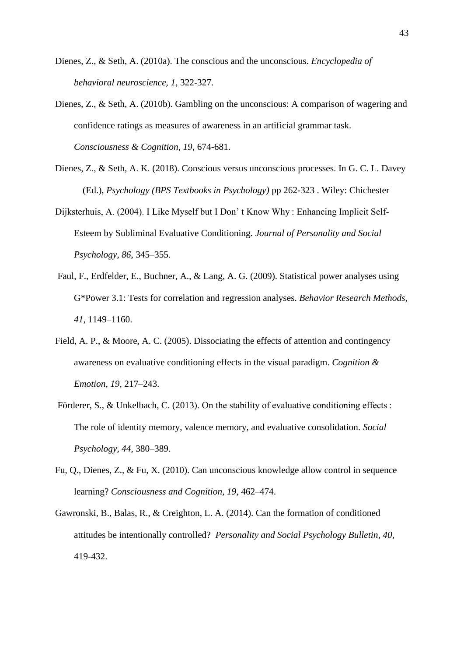- Dienes, Z., & Seth, A. (2010a). The conscious and the unconscious. *Encyclopedia of behavioral neuroscience, 1*, 322-327.
- Dienes, Z., & Seth, A. (2010b). Gambling on the unconscious: A comparison of wagering and confidence ratings as measures of awareness in an artificial grammar task. *Consciousness & Cognition, 19*, 674-681.
- [Dienes, Z., & Seth, A. K. \(2018\).](http://www.lifesci.sussex.ac.uk/home/Zoltan_Dienes/Dienes%20and%20Seth%202015%20Conscious%20vs%20unconscious%20processes.pdf) Conscious versus unconscious processes. In G. C. L. Davey (Ed.), *Psychology (BPS Textbooks in Psychology)* pp 262-323 . Wiley: Chichester
- Dijksterhuis, A. (2004). I Like Myself but I Don' t Know Why : Enhancing Implicit Self-Esteem by Subliminal Evaluative Conditioning*. Journal of Personality and Social Psychology, 86,* 345–355.
- Faul, F., Erdfelder, E., Buchner, A., & Lang, A. G. (2009). Statistical power analyses using G\*Power 3.1: Tests for correlation and regression analyses. *Behavior Research Methods, 41*, 1149–1160.
- Field, A. P., & Moore, A. C. (2005). Dissociating the effects of attention and contingency awareness on evaluative conditioning effects in the visual paradigm. *Cognition & Emotion, 19,* 217–243.
- Förderer, S., & Unkelbach, C. (2013). On the stability of evaluative conditioning effects : The role of identity memory, valence memory, and evaluative consolidation*. Social Psychology, 44*, 380–389.
- Fu, Q., Dienes, Z., & Fu, X. (2010). Can unconscious knowledge allow control in sequence learning? *Consciousness and Cognition, 19*, 462–474.
- Gawronski, B., Balas, R., & Creighton, L. A. (2014). Can the formation of conditioned attitudes be intentionally controlled? *Personality and Social Psychology Bulletin*, *40*, 419-432.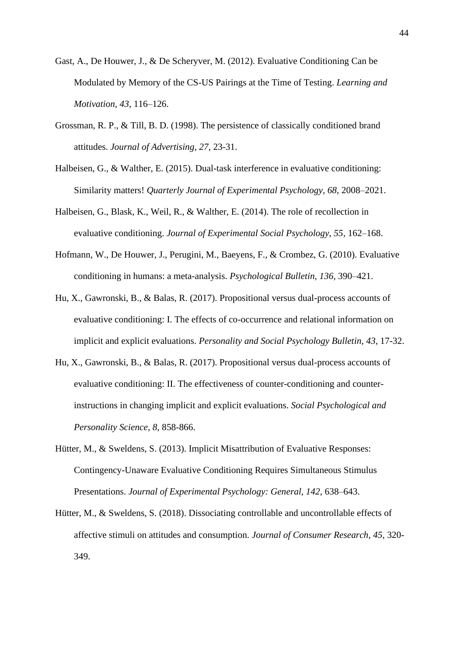- Gast, A., De Houwer, J., & De Scheryver, M. (2012). Evaluative Conditioning Can be Modulated by Memory of the CS-US Pairings at the Time of Testing. *Learning and Motivation, 43*, 116–126.
- Grossman, R. P., & Till, B. D. (1998). The persistence of classically conditioned brand attitudes. *Journal of Advertising, 27*, 23-31.
- Halbeisen, G., & Walther, E. (2015). Dual-task interference in evaluative conditioning: Similarity matters! *Quarterly Journal of Experimental Psychology, 68*, 2008–2021.
- Halbeisen, G., Blask, K., Weil, R., & Walther, E. (2014). The role of recollection in evaluative conditioning. *Journal of Experimental Social Psychology, 55*, 162–168.
- Hofmann, W., De Houwer, J., Perugini, M., Baeyens, F., & Crombez, G. (2010). Evaluative conditioning in humans: a meta-analysis. *Psychological Bulletin, 136*, 390–421.
- Hu, X., Gawronski, B., & Balas, R. (2017). Propositional versus dual-process accounts of evaluative conditioning: I. The effects of co-occurrence and relational information on implicit and explicit evaluations. *Personality and Social Psychology Bulletin*, *43*, 17-32.
- Hu, X., Gawronski, B., & Balas, R. (2017). Propositional versus dual-process accounts of evaluative conditioning: II. The effectiveness of counter-conditioning and counterinstructions in changing implicit and explicit evaluations. *Social Psychological and Personality Science*, *8*, 858-866.
- Hütter, M., & Sweldens, S. (2013). Implicit Misattribution of Evaluative Responses: Contingency-Unaware Evaluative Conditioning Requires Simultaneous Stimulus Presentations. *Journal of Experimental Psychology: General, 142*, 638–643.
- Hütter, M., & Sweldens, S. (2018). Dissociating controllable and uncontrollable effects of affective stimuli on attitudes and consumption. *Journal of Consumer Research*, *45*, 320- 349.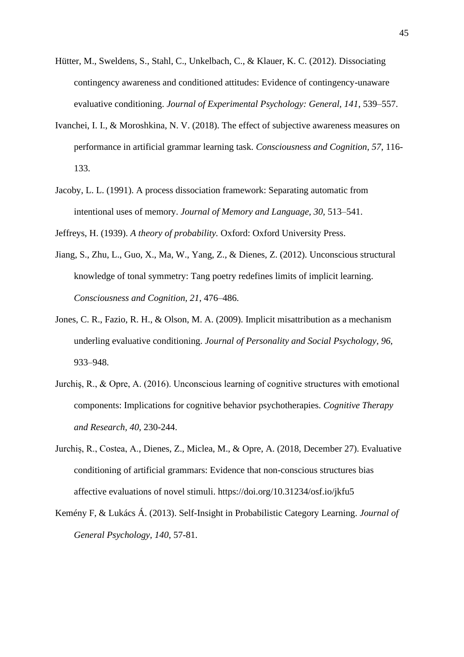- Hütter, M., Sweldens, S., Stahl, C., Unkelbach, C., & Klauer, K. C. (2012). Dissociating contingency awareness and conditioned attitudes: Evidence of contingency-unaware evaluative conditioning. *Journal of Experimental Psychology: General, 141*, 539–557.
- Ivanchei, I. I., & Moroshkina, N. V. (2018). The effect of subjective awareness measures on performance in artificial grammar learning task. *Consciousness and Cognition, 57*, 116- 133.
- Jacoby, L. L. (1991). A process dissociation framework: Separating automatic from intentional uses of memory. *Journal of Memory and Language, 30,* 513–541.

Jeffreys, H. (1939). *A theory of probability.* Oxford: Oxford University Press.

- Jiang, S., Zhu, L., Guo, X., Ma, W., Yang, Z., & Dienes, Z. (2012). Unconscious structural knowledge of tonal symmetry: Tang poetry redefines limits of implicit learning. *Consciousness and Cognition, 21*, 476–486.
- Jones, C. R., Fazio, R. H., & Olson, M. A. (2009). Implicit misattribution as a mechanism underling evaluative conditioning. *Journal of Personality and Social Psychology, 96*, 933–948.
- Jurchiş, R., & Opre, A. (2016). Unconscious learning of cognitive structures with emotional components: Implications for cognitive behavior psychotherapies. *Cognitive Therapy and Research, 40*, 230-244.
- Jurchiș, R., Costea, A., Dienes, Z., Miclea, M., & Opre, A. (2018, December 27). Evaluative conditioning of artificial grammars: Evidence that non-conscious structures bias affective evaluations of novel stimuli. https://doi.org/10.31234/osf.io/jkfu5
- Kemény F, & Lukács Á. (2013). Self-Insight in Probabilistic Category Learning. *Journal of General Psychology, 140*, 57-81.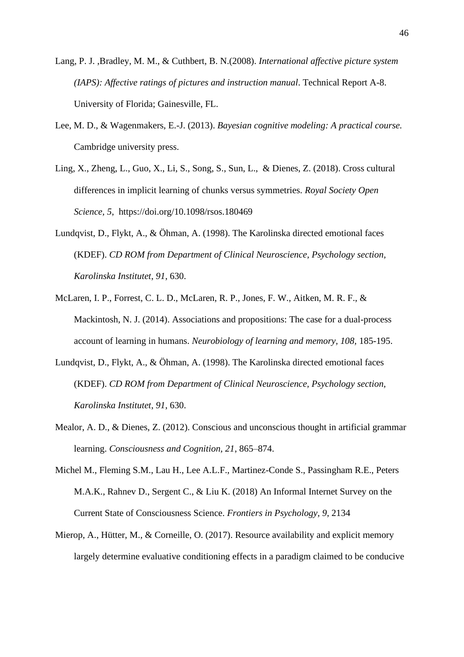- Lang, P. J. ,Bradley, M. M., & Cuthbert, B. N.(2008). *International affective picture system (IAPS): Affective ratings of pictures and instruction manual*. Technical Report A-8. University of Florida; Gainesville, FL.
- Lee, M. D., & Wagenmakers, E.-J. (2013). *Bayesian cognitive modeling: A practical course.*  Cambridge university press.
- Ling, X., Zheng, L., Guo, X., Li, S., Song, S., Sun, L., & Dienes, Z. (2018). Cross cultural differences in implicit learning of chunks versus symmetries. *Royal Society Open Science, 5*, https://doi.org/10.1098/rsos.180469
- Lundqvist, D., Flykt, A., & Öhman, A. (1998). The Karolinska directed emotional faces (KDEF). *CD ROM from Department of Clinical Neuroscience, Psychology section, Karolinska Institutet*, *91*, 630.
- McLaren, I. P., Forrest, C. L. D., McLaren, R. P., Jones, F. W., Aitken, M. R. F., & Mackintosh, N. J. (2014). Associations and propositions: The case for a dual-process account of learning in humans. *Neurobiology of learning and memory, 108,* 185-195.
- Lundqvist, D., Flykt, A., & Öhman, A. (1998). The Karolinska directed emotional faces (KDEF). *CD ROM from Department of Clinical Neuroscience, Psychology section, Karolinska Institutet*, *91*, 630.
- Mealor, A. D., & Dienes, Z. (2012). Conscious and unconscious thought in artificial grammar learning. *Consciousness and Cognition, 21*, 865–874.
- Michel M., Fleming S.M., Lau H., Lee A.L.F., Martinez-Conde S., Passingham R.E., Peters M.A.K., Rahnev D., Sergent C., & Liu K. (2018) An Informal Internet Survey on the Current State of Consciousness Science. *Frontiers in Psychology, 9*, 2134
- Mierop, A., Hütter, M., & Corneille, O. (2017). Resource availability and explicit memory largely determine evaluative conditioning effects in a paradigm claimed to be conducive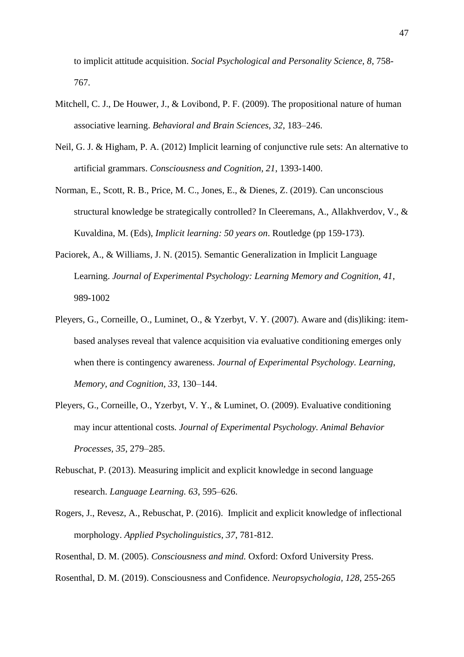to implicit attitude acquisition. *Social Psychological and Personality Science, 8*, 758- 767.

- Mitchell, C. J., De Houwer, J., & Lovibond, P. F. (2009). The propositional nature of human associative learning. *Behavioral and Brain Sciences, 32*, 183–246.
- Neil, G. J. & Higham, P. A. (2012) Implicit learning of conjunctive rule sets: An alternative to artificial grammars. *Consciousness and Cognition, 21*, 1393-1400.
- Norman, E., Scott, R. B., Price, M. C., Jones, E., & Dienes, Z. (2019). Can unconscious structural knowledge be strategically controlled? In Cleeremans, A., Allakhverdov, V., & Kuvaldina, M. (Eds), *Implicit learning: 50 years on*. Routledge (pp 159-173).
- Paciorek, A., & Williams, J. N. (2015). Semantic Generalization in Implicit Language Learning. *Journal of Experimental Psychology: Learning Memory and Cognition, 41*, 989-1002
- Pleyers, G., Corneille, O., Luminet, O., & Yzerbyt, V. Y. (2007). Aware and (dis)liking: itembased analyses reveal that valence acquisition via evaluative conditioning emerges only when there is contingency awareness. *Journal of Experimental Psychology. Learning, Memory, and Cognition, 33*, 130–144.
- Pleyers, G., Corneille, O., Yzerbyt, V. Y., & Luminet, O. (2009). Evaluative conditioning may incur attentional costs*. Journal of Experimental Psychology. Animal Behavior Processes, 35*, 279–285.
- Rebuschat, P. (2013). Measuring implicit and explicit knowledge in second language research. *Language Learning. 63*, 595–626.
- Rogers, J., Revesz, A., Rebuschat, P. (2016). Implicit and explicit knowledge of inflectional morphology. *Applied Psycholinguistics, 37*, 781-812.

Rosenthal, D. M. (2005). *Consciousness and mind.* Oxford: Oxford University Press.

Rosenthal, D. M. (2019). Consciousness and Confidence. *Neuropsychologia, 128*, 255-265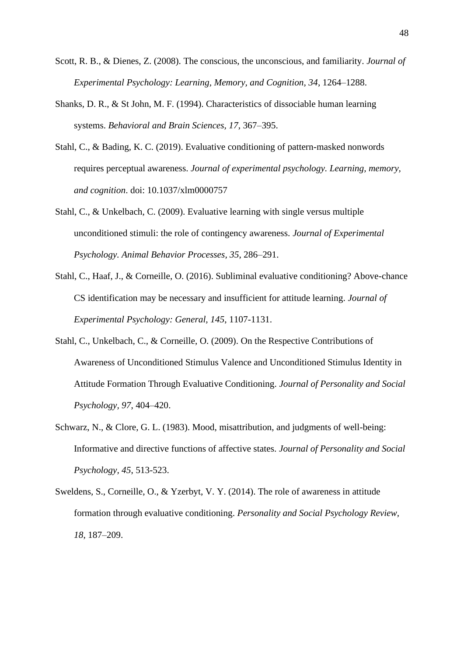- Scott, R. B., & Dienes, Z. (2008). The conscious, the unconscious, and familiarity. *Journal of Experimental Psychology: Learning, Memory, and Cognition, 34*, 1264–1288.
- Shanks, D. R., & St John, M. F. (1994). Characteristics of dissociable human learning systems. *Behavioral and Brain Sciences, 17*, 367–395.
- Stahl, C., & Bading, K. C. (2019). Evaluative conditioning of pattern-masked nonwords requires perceptual awareness. *Journal of experimental psychology. Learning, memory, and cognition*. doi: 10.1037/xlm0000757
- Stahl, C., & Unkelbach, C. (2009). Evaluative learning with single versus multiple unconditioned stimuli: the role of contingency awareness. *Journal of Experimental Psychology. Animal Behavior Processes, 35*, 286–291.
- Stahl, C., Haaf, J., & Corneille, O. (2016). Subliminal evaluative conditioning? Above-chance CS identification may be necessary and insufficient for attitude learning. *Journal of Experimental Psychology: General, 145*, 1107-1131.
- Stahl, C., Unkelbach, C., & Corneille, O. (2009). On the Respective Contributions of Awareness of Unconditioned Stimulus Valence and Unconditioned Stimulus Identity in Attitude Formation Through Evaluative Conditioning. *Journal of Personality and Social Psychology, 97*, 404–420.
- Schwarz, N., & Clore, G. L. (1983). Mood, misattribution, and judgments of well-being: Informative and directive functions of affective states. *Journal of Personality and Social Psychology, 45*, 513-523.
- Sweldens, S., Corneille, O., & Yzerbyt, V. Y. (2014). The role of awareness in attitude formation through evaluative conditioning. *Personality and Social Psychology Review, 18*, 187–209.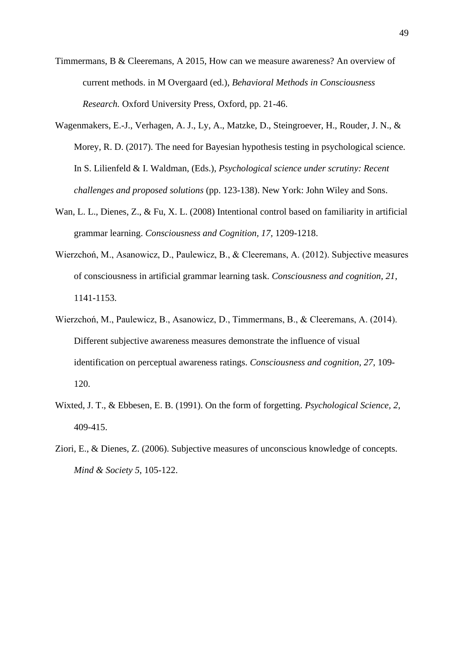- Timmermans, B & Cleeremans, A 2015, How can we measure awareness? An overview of current methods. in M Overgaard (ed.), *Behavioral Methods in Consciousness Research.* Oxford University Press, Oxford, pp. 21-46.
- Wagenmakers, E.-J., Verhagen, A. J., Ly, A., Matzke, D., Steingroever, H., Rouder, J. N., & Morey, R. D. (2017). The need for Bayesian hypothesis testing in psychological science. In S. Lilienfeld & I. Waldman, (Eds.), *Psychological science under scrutiny: Recent challenges and proposed solutions* (pp. 123-138). New York: John Wiley and Sons.
- Wan, L. L., Dienes, Z., & Fu, X. L. (2008) Intentional control based on familiarity in artificial grammar learning. *Consciousness and Cognition, 17*, 1209-1218.
- Wierzchoń, M., Asanowicz, D., Paulewicz, B., & Cleeremans, A. (2012). Subjective measures of consciousness in artificial grammar learning task. *Consciousness and cognition, 21*, 1141-1153.
- Wierzchoń, M., Paulewicz, B., Asanowicz, D., Timmermans, B., & Cleeremans, A. (2014). Different subjective awareness measures demonstrate the influence of visual identification on perceptual awareness ratings. *Consciousness and cognition, 27*, 109- 120.
- Wixted, J. T., & Ebbesen, E. B. (1991). On the form of forgetting. *Psychological Science, 2*, 409-415.
- Ziori, E., & Dienes, Z. (2006). Subjective measures of unconscious knowledge of concepts. *Mind & Society 5*, 105-122.